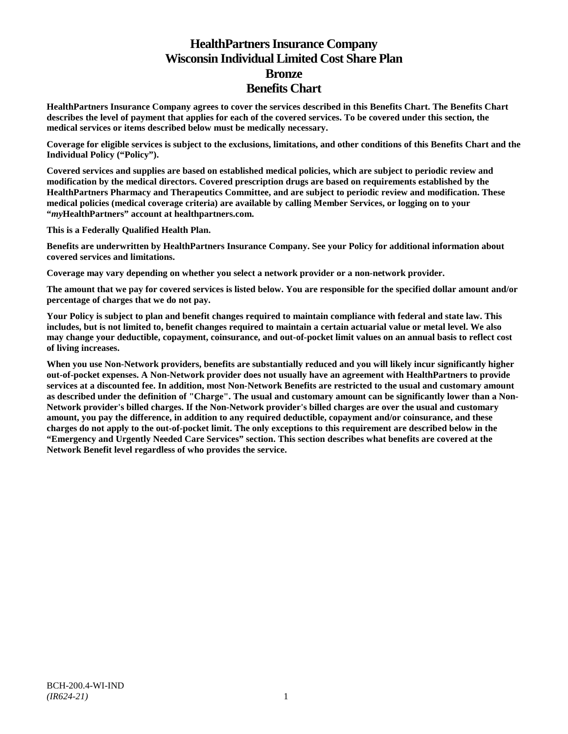# **HealthPartners Insurance Company Wisconsin Individual Limited Cost Share Plan Bronze Benefits Chart**

**HealthPartners Insurance Company agrees to cover the services described in this Benefits Chart. The Benefits Chart describes the level of payment that applies for each of the covered services. To be covered under this section, the medical services or items described below must be medically necessary.**

**Coverage for eligible services is subject to the exclusions, limitations, and other conditions of this Benefits Chart and the Individual Policy ("Policy").**

**Covered services and supplies are based on established medical policies, which are subject to periodic review and modification by the medical directors. Covered prescription drugs are based on requirements established by the HealthPartners Pharmacy and Therapeutics Committee, and are subject to periodic review and modification. These medical policies (medical coverage criteria) are available by calling Member Services, or logging on to your "***my***HealthPartners" account at [healthpartners.com.](http://www.healthpartners.com/)**

**This is a Federally Qualified Health Plan.**

**Benefits are underwritten by HealthPartners Insurance Company. See your Policy for additional information about covered services and limitations.**

**Coverage may vary depending on whether you select a network provider or a non-network provider.**

**The amount that we pay for covered services is listed below. You are responsible for the specified dollar amount and/or percentage of charges that we do not pay.**

**Your Policy is subject to plan and benefit changes required to maintain compliance with federal and state law. This includes, but is not limited to, benefit changes required to maintain a certain actuarial value or metal level. We also may change your deductible, copayment, coinsurance, and out-of-pocket limit values on an annual basis to reflect cost of living increases.**

**When you use Non-Network providers, benefits are substantially reduced and you will likely incur significantly higher out-of-pocket expenses. A Non-Network provider does not usually have an agreement with HealthPartners to provide services at a discounted fee. In addition, most Non-Network Benefits are restricted to the usual and customary amount as described under the definition of "Charge". The usual and customary amount can be significantly lower than a Non-Network provider's billed charges. If the Non-Network provider's billed charges are over the usual and customary amount, you pay the difference, in addition to any required deductible, copayment and/or coinsurance, and these charges do not apply to the out-of-pocket limit. The only exceptions to this requirement are described below in the "Emergency and Urgently Needed Care Services" section. This section describes what benefits are covered at the Network Benefit level regardless of who provides the service.**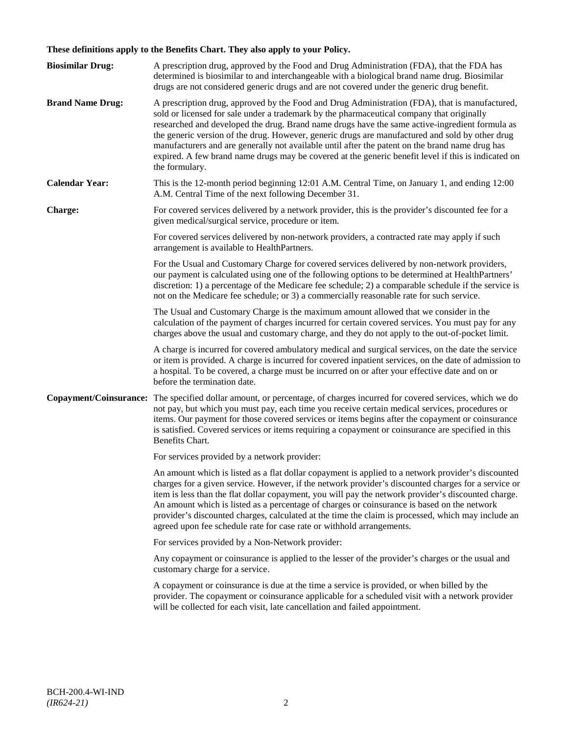# **These definitions apply to the Benefits Chart. They also apply to your Policy.**

| <b>Biosimilar Drug:</b> | A prescription drug, approved by the Food and Drug Administration (FDA), that the FDA has<br>determined is biosimilar to and interchangeable with a biological brand name drug. Biosimilar                                                                                                                                                                                                                                                                                                                                                                                                                                                                                                                                 |
|-------------------------|----------------------------------------------------------------------------------------------------------------------------------------------------------------------------------------------------------------------------------------------------------------------------------------------------------------------------------------------------------------------------------------------------------------------------------------------------------------------------------------------------------------------------------------------------------------------------------------------------------------------------------------------------------------------------------------------------------------------------|
| <b>Brand Name Drug:</b> | drugs are not considered generic drugs and are not covered under the generic drug benefit.<br>A prescription drug, approved by the Food and Drug Administration (FDA), that is manufactured,<br>sold or licensed for sale under a trademark by the pharmaceutical company that originally<br>researched and developed the drug. Brand name drugs have the same active-ingredient formula as<br>the generic version of the drug. However, generic drugs are manufactured and sold by other drug<br>manufacturers and are generally not available until after the patent on the brand name drug has<br>expired. A few brand name drugs may be covered at the generic benefit level if this is indicated on<br>the formulary. |
| <b>Calendar Year:</b>   | This is the 12-month period beginning 12:01 A.M. Central Time, on January 1, and ending 12:00<br>A.M. Central Time of the next following December 31.                                                                                                                                                                                                                                                                                                                                                                                                                                                                                                                                                                      |
| Charge:                 | For covered services delivered by a network provider, this is the provider's discounted fee for a<br>given medical/surgical service, procedure or item.                                                                                                                                                                                                                                                                                                                                                                                                                                                                                                                                                                    |
|                         | For covered services delivered by non-network providers, a contracted rate may apply if such<br>arrangement is available to HealthPartners.                                                                                                                                                                                                                                                                                                                                                                                                                                                                                                                                                                                |
|                         | For the Usual and Customary Charge for covered services delivered by non-network providers,<br>our payment is calculated using one of the following options to be determined at HealthPartners'<br>discretion: 1) a percentage of the Medicare fee schedule; 2) a comparable schedule if the service is<br>not on the Medicare fee schedule; or 3) a commercially reasonable rate for such service.                                                                                                                                                                                                                                                                                                                        |
|                         | The Usual and Customary Charge is the maximum amount allowed that we consider in the<br>calculation of the payment of charges incurred for certain covered services. You must pay for any<br>charges above the usual and customary charge, and they do not apply to the out-of-pocket limit.                                                                                                                                                                                                                                                                                                                                                                                                                               |
|                         | A charge is incurred for covered ambulatory medical and surgical services, on the date the service<br>or item is provided. A charge is incurred for covered inpatient services, on the date of admission to<br>a hospital. To be covered, a charge must be incurred on or after your effective date and on or<br>before the termination date.                                                                                                                                                                                                                                                                                                                                                                              |
| Copayment/Coinsurance:  | The specified dollar amount, or percentage, of charges incurred for covered services, which we do<br>not pay, but which you must pay, each time you receive certain medical services, procedures or<br>items. Our payment for those covered services or items begins after the copayment or coinsurance<br>is satisfied. Covered services or items requiring a copayment or coinsurance are specified in this<br>Benefits Chart.                                                                                                                                                                                                                                                                                           |
|                         | For services provided by a network provider:                                                                                                                                                                                                                                                                                                                                                                                                                                                                                                                                                                                                                                                                               |
|                         | An amount which is listed as a flat dollar copayment is applied to a network provider's discounted<br>charges for a given service. However, if the network provider's discounted charges for a service or<br>item is less than the flat dollar copayment, you will pay the network provider's discounted charge.<br>An amount which is listed as a percentage of charges or coinsurance is based on the network<br>provider's discounted charges, calculated at the time the claim is processed, which may include an<br>agreed upon fee schedule rate for case rate or withhold arrangements.                                                                                                                             |
|                         | For services provided by a Non-Network provider:                                                                                                                                                                                                                                                                                                                                                                                                                                                                                                                                                                                                                                                                           |
|                         | Any copayment or coinsurance is applied to the lesser of the provider's charges or the usual and<br>customary charge for a service.                                                                                                                                                                                                                                                                                                                                                                                                                                                                                                                                                                                        |
|                         | A copayment or coinsurance is due at the time a service is provided, or when billed by the<br>provider. The copayment or coinsurance applicable for a scheduled visit with a network provider<br>will be collected for each visit, late cancellation and failed appointment.                                                                                                                                                                                                                                                                                                                                                                                                                                               |
|                         |                                                                                                                                                                                                                                                                                                                                                                                                                                                                                                                                                                                                                                                                                                                            |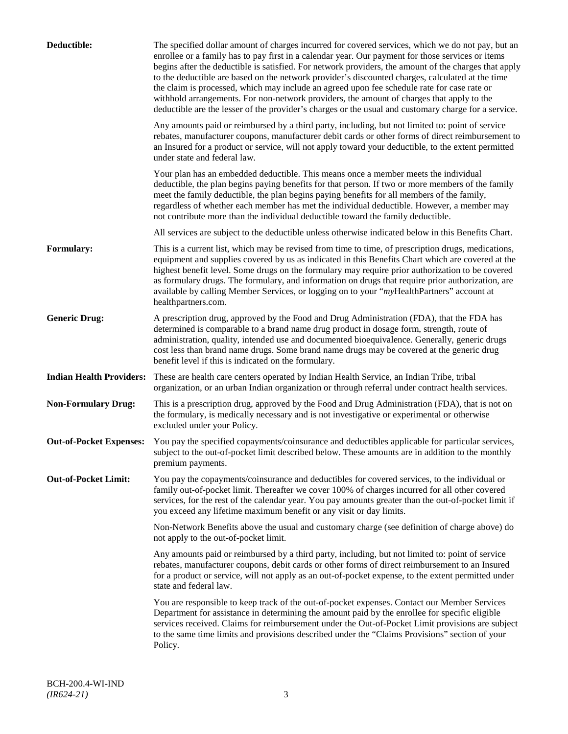| Deductible:                     | The specified dollar amount of charges incurred for covered services, which we do not pay, but an<br>enrollee or a family has to pay first in a calendar year. Our payment for those services or items<br>begins after the deductible is satisfied. For network providers, the amount of the charges that apply<br>to the deductible are based on the network provider's discounted charges, calculated at the time<br>the claim is processed, which may include an agreed upon fee schedule rate for case rate or<br>withhold arrangements. For non-network providers, the amount of charges that apply to the<br>deductible are the lesser of the provider's charges or the usual and customary charge for a service. |
|---------------------------------|-------------------------------------------------------------------------------------------------------------------------------------------------------------------------------------------------------------------------------------------------------------------------------------------------------------------------------------------------------------------------------------------------------------------------------------------------------------------------------------------------------------------------------------------------------------------------------------------------------------------------------------------------------------------------------------------------------------------------|
|                                 | Any amounts paid or reimbursed by a third party, including, but not limited to: point of service<br>rebates, manufacturer coupons, manufacturer debit cards or other forms of direct reimbursement to<br>an Insured for a product or service, will not apply toward your deductible, to the extent permitted<br>under state and federal law.                                                                                                                                                                                                                                                                                                                                                                            |
|                                 | Your plan has an embedded deductible. This means once a member meets the individual<br>deductible, the plan begins paying benefits for that person. If two or more members of the family<br>meet the family deductible, the plan begins paying benefits for all members of the family,<br>regardless of whether each member has met the individual deductible. However, a member may<br>not contribute more than the individual deductible toward the family deductible.                                                                                                                                                                                                                                                |
|                                 | All services are subject to the deductible unless otherwise indicated below in this Benefits Chart.                                                                                                                                                                                                                                                                                                                                                                                                                                                                                                                                                                                                                     |
| Formulary:                      | This is a current list, which may be revised from time to time, of prescription drugs, medications,<br>equipment and supplies covered by us as indicated in this Benefits Chart which are covered at the<br>highest benefit level. Some drugs on the formulary may require prior authorization to be covered<br>as formulary drugs. The formulary, and information on drugs that require prior authorization, are<br>available by calling Member Services, or logging on to your "myHealthPartners" account at<br>healthpartners.com.                                                                                                                                                                                   |
| <b>Generic Drug:</b>            | A prescription drug, approved by the Food and Drug Administration (FDA), that the FDA has<br>determined is comparable to a brand name drug product in dosage form, strength, route of<br>administration, quality, intended use and documented bioequivalence. Generally, generic drugs<br>cost less than brand name drugs. Some brand name drugs may be covered at the generic drug<br>benefit level if this is indicated on the formulary.                                                                                                                                                                                                                                                                             |
| <b>Indian Health Providers:</b> | These are health care centers operated by Indian Health Service, an Indian Tribe, tribal<br>organization, or an urban Indian organization or through referral under contract health services.                                                                                                                                                                                                                                                                                                                                                                                                                                                                                                                           |
| <b>Non-Formulary Drug:</b>      | This is a prescription drug, approved by the Food and Drug Administration (FDA), that is not on<br>the formulary, is medically necessary and is not investigative or experimental or otherwise<br>excluded under your Policy.                                                                                                                                                                                                                                                                                                                                                                                                                                                                                           |
| <b>Out-of-Pocket Expenses:</b>  | You pay the specified copayments/coinsurance and deductibles applicable for particular services,<br>subject to the out-of-pocket limit described below. These amounts are in addition to the monthly<br>premium payments.                                                                                                                                                                                                                                                                                                                                                                                                                                                                                               |
| <b>Out-of-Pocket Limit:</b>     | You pay the copayments/coinsurance and deductibles for covered services, to the individual or<br>family out-of-pocket limit. Thereafter we cover 100% of charges incurred for all other covered<br>services, for the rest of the calendar year. You pay amounts greater than the out-of-pocket limit if<br>you exceed any lifetime maximum benefit or any visit or day limits.                                                                                                                                                                                                                                                                                                                                          |
|                                 | Non-Network Benefits above the usual and customary charge (see definition of charge above) do<br>not apply to the out-of-pocket limit.                                                                                                                                                                                                                                                                                                                                                                                                                                                                                                                                                                                  |
|                                 | Any amounts paid or reimbursed by a third party, including, but not limited to: point of service<br>rebates, manufacturer coupons, debit cards or other forms of direct reimbursement to an Insured<br>for a product or service, will not apply as an out-of-pocket expense, to the extent permitted under<br>state and federal law.                                                                                                                                                                                                                                                                                                                                                                                    |
|                                 | You are responsible to keep track of the out-of-pocket expenses. Contact our Member Services<br>Department for assistance in determining the amount paid by the enrollee for specific eligible<br>services received. Claims for reimbursement under the Out-of-Pocket Limit provisions are subject<br>to the same time limits and provisions described under the "Claims Provisions" section of your<br>Policy.                                                                                                                                                                                                                                                                                                         |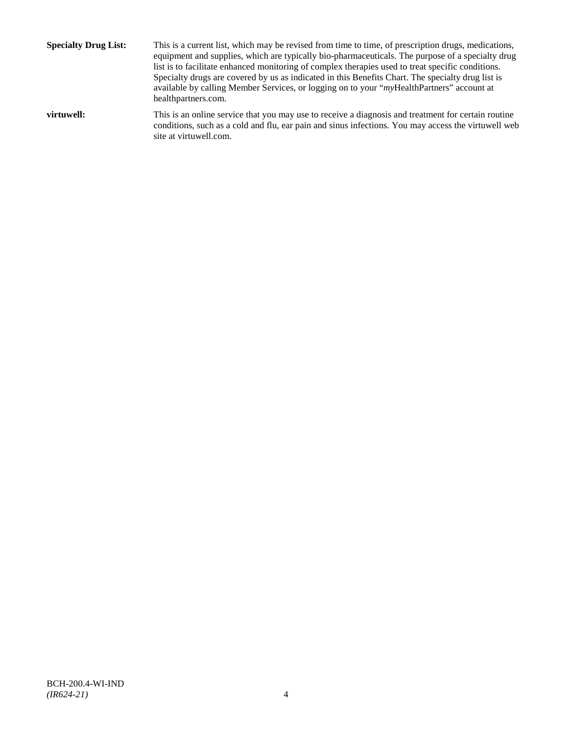**Specialty Drug List:** This is a current list, which may be revised from time to time, of prescription drugs, medications, equipment and supplies, which are typically bio-pharmaceuticals. The purpose of a specialty drug list is to facilitate enhanced monitoring of complex therapies used to treat specific conditions. Specialty drugs are covered by us as indicated in this Benefits Chart. The specialty drug list is available by calling Member Services, or logging on to your "*my*HealthPartners" account at [healthpartners.com.](http://www.healthpartners.com/) **virtuwell:** This is an online service that you may use to receive a diagnosis and treatment for certain routine conditions, such as a cold and flu, ear pain and sinus infections. You may access the virtuwell web

site a[t virtuwell.com.](http://www.virtuwell.com/)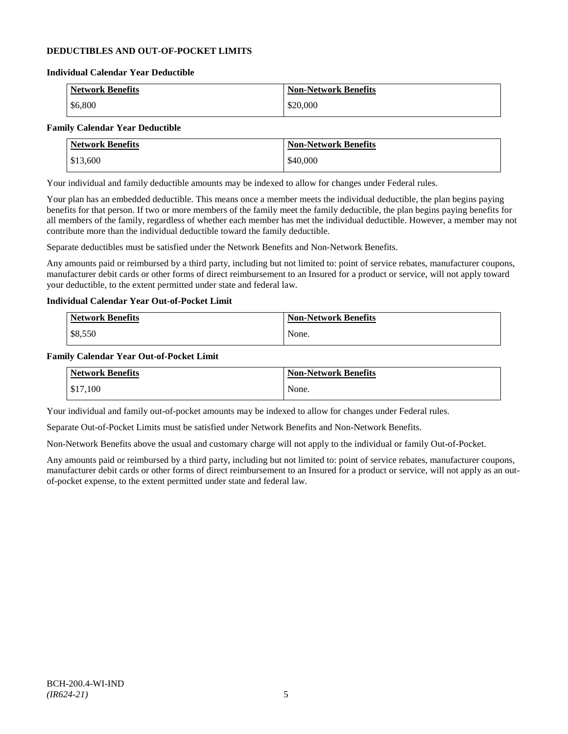# **DEDUCTIBLES AND OUT-OF-POCKET LIMITS**

#### **Individual Calendar Year Deductible**

| <b>Network Benefits</b> | <b>Non-Network Benefits</b> |
|-------------------------|-----------------------------|
| \$6,800                 | \$20,000                    |

# **Family Calendar Year Deductible**

| <b>Network Benefits</b> | <b>Non-Network Benefits</b> |
|-------------------------|-----------------------------|
| \$13,600                | \$40,000                    |

Your individual and family deductible amounts may be indexed to allow for changes under Federal rules.

Your plan has an embedded deductible. This means once a member meets the individual deductible, the plan begins paying benefits for that person. If two or more members of the family meet the family deductible, the plan begins paying benefits for all members of the family, regardless of whether each member has met the individual deductible. However, a member may not contribute more than the individual deductible toward the family deductible.

Separate deductibles must be satisfied under the Network Benefits and Non-Network Benefits.

Any amounts paid or reimbursed by a third party, including but not limited to: point of service rebates, manufacturer coupons, manufacturer debit cards or other forms of direct reimbursement to an Insured for a product or service, will not apply toward your deductible, to the extent permitted under state and federal law.

# **Individual Calendar Year Out-of-Pocket Limit**

| Network Benefits | <b>Non-Network Benefits</b> |
|------------------|-----------------------------|
| \$8,550          | None.                       |

#### **Family Calendar Year Out-of-Pocket Limit**

| <b>Network Benefits</b> | <b>Non-Network Benefits</b> |
|-------------------------|-----------------------------|
| \$17,100                | None.                       |

Your individual and family out-of-pocket amounts may be indexed to allow for changes under Federal rules.

Separate Out-of-Pocket Limits must be satisfied under Network Benefits and Non-Network Benefits.

Non-Network Benefits above the usual and customary charge will not apply to the individual or family Out-of-Pocket.

Any amounts paid or reimbursed by a third party, including but not limited to: point of service rebates, manufacturer coupons, manufacturer debit cards or other forms of direct reimbursement to an Insured for a product or service, will not apply as an outof-pocket expense, to the extent permitted under state and federal law.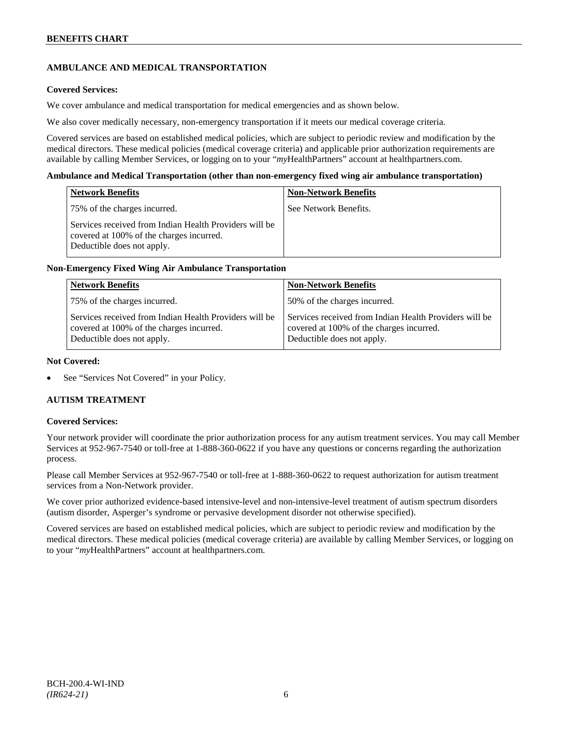# **AMBULANCE AND MEDICAL TRANSPORTATION**

# **Covered Services:**

We cover ambulance and medical transportation for medical emergencies and as shown below.

We also cover medically necessary, non-emergency transportation if it meets our medical coverage criteria.

Covered services are based on established medical policies, which are subject to periodic review and modification by the medical directors. These medical policies (medical coverage criteria) and applicable prior authorization requirements are available by calling Member Services, or logging on to your "*my*HealthPartners" account a[t healthpartners.com.](http://www.healthpartners.com/)

#### **Ambulance and Medical Transportation (other than non-emergency fixed wing air ambulance transportation)**

| <b>Network Benefits</b>                                                                                                          | <b>Non-Network Benefits</b> |
|----------------------------------------------------------------------------------------------------------------------------------|-----------------------------|
| 75% of the charges incurred.                                                                                                     | See Network Benefits.       |
| Services received from Indian Health Providers will be<br>covered at 100% of the charges incurred.<br>Deductible does not apply. |                             |

# **Non-Emergency Fixed Wing Air Ambulance Transportation**

| <b>Network Benefits</b>                                                                                                          | <b>Non-Network Benefits</b>                                                                                                      |
|----------------------------------------------------------------------------------------------------------------------------------|----------------------------------------------------------------------------------------------------------------------------------|
| 75% of the charges incurred.                                                                                                     | 50% of the charges incurred.                                                                                                     |
| Services received from Indian Health Providers will be<br>covered at 100% of the charges incurred.<br>Deductible does not apply. | Services received from Indian Health Providers will be<br>covered at 100% of the charges incurred.<br>Deductible does not apply. |

### **Not Covered:**

See "Services Not Covered" in your Policy.

# **AUTISM TREATMENT**

#### **Covered Services:**

Your network provider will coordinate the prior authorization process for any autism treatment services. You may call Member Services at 952-967-7540 or toll-free at 1-888-360-0622 if you have any questions or concerns regarding the authorization process.

Please call Member Services at 952-967-7540 or toll-free at 1-888-360-0622 to request authorization for autism treatment services from a Non-Network provider.

We cover prior authorized evidence-based intensive-level and non-intensive-level treatment of autism spectrum disorders (autism disorder, Asperger's syndrome or pervasive development disorder not otherwise specified).

Covered services are based on established medical policies, which are subject to periodic review and modification by the medical directors. These medical policies (medical coverage criteria) are available by calling Member Services, or logging on to your "*my*HealthPartners" account at [healthpartners.com.](http://www.healthpartners.com/)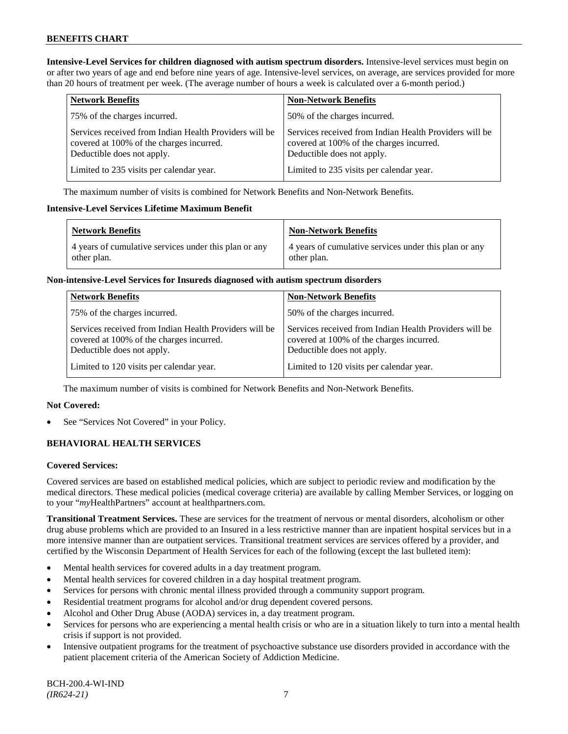**Intensive-Level Services for children diagnosed with autism spectrum disorders.** Intensive-level services must begin on or after two years of age and end before nine years of age. Intensive-level services, on average, are services provided for more than 20 hours of treatment per week. (The average number of hours a week is calculated over a 6-month period.)

| <b>Network Benefits</b>                                                                                                          | <b>Non-Network Benefits</b>                                                                                                      |
|----------------------------------------------------------------------------------------------------------------------------------|----------------------------------------------------------------------------------------------------------------------------------|
| 75% of the charges incurred.                                                                                                     | 50% of the charges incurred.                                                                                                     |
| Services received from Indian Health Providers will be<br>covered at 100% of the charges incurred.<br>Deductible does not apply. | Services received from Indian Health Providers will be<br>covered at 100% of the charges incurred.<br>Deductible does not apply. |
| Limited to 235 visits per calendar year.                                                                                         | Limited to 235 visits per calendar year.                                                                                         |

The maximum number of visits is combined for Network Benefits and Non-Network Benefits.

#### **Intensive-Level Services Lifetime Maximum Benefit**

| <b>Network Benefits</b>                                              | <b>Non-Network Benefits</b>                                          |
|----------------------------------------------------------------------|----------------------------------------------------------------------|
| 4 years of cumulative services under this plan or any<br>other plan. | 4 years of cumulative services under this plan or any<br>other plan. |

### **Non-intensive-Level Services for Insureds diagnosed with autism spectrum disorders**

| <b>Network Benefits</b>                                                                                                          | <b>Non-Network Benefits</b>                                                                                                      |
|----------------------------------------------------------------------------------------------------------------------------------|----------------------------------------------------------------------------------------------------------------------------------|
| 75% of the charges incurred.                                                                                                     | 50% of the charges incurred.                                                                                                     |
| Services received from Indian Health Providers will be<br>covered at 100% of the charges incurred.<br>Deductible does not apply. | Services received from Indian Health Providers will be<br>covered at 100% of the charges incurred.<br>Deductible does not apply. |
| Limited to 120 visits per calendar year.                                                                                         | Limited to 120 visits per calendar year.                                                                                         |

The maximum number of visits is combined for Network Benefits and Non-Network Benefits.

# **Not Covered:**

See "Services Not Covered" in your Policy.

# **BEHAVIORAL HEALTH SERVICES**

# **Covered Services:**

Covered services are based on established medical policies, which are subject to periodic review and modification by the medical directors. These medical policies (medical coverage criteria) are available by calling Member Services, or logging on to your "*my*HealthPartners" account at [healthpartners.com.](http://www.healthpartners.com/)

**Transitional Treatment Services.** These are services for the treatment of nervous or mental disorders, alcoholism or other drug abuse problems which are provided to an Insured in a less restrictive manner than are inpatient hospital services but in a more intensive manner than are outpatient services. Transitional treatment services are services offered by a provider, and certified by the Wisconsin Department of Health Services for each of the following (except the last bulleted item):

- Mental health services for covered adults in a day treatment program.
- Mental health services for covered children in a day hospital treatment program.
- Services for persons with chronic mental illness provided through a community support program.
- Residential treatment programs for alcohol and/or drug dependent covered persons.
- Alcohol and Other Drug Abuse (AODA) services in, a day treatment program.
- Services for persons who are experiencing a mental health crisis or who are in a situation likely to turn into a mental health crisis if support is not provided.
- Intensive outpatient programs for the treatment of psychoactive substance use disorders provided in accordance with the patient placement criteria of the American Society of Addiction Medicine.

BCH-200.4-WI-IND *(IR624-21)* 7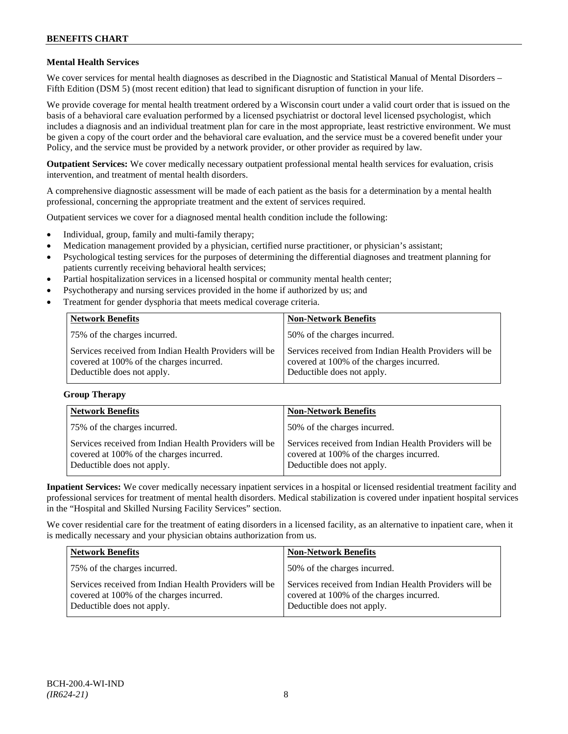# **Mental Health Services**

We cover services for mental health diagnoses as described in the Diagnostic and Statistical Manual of Mental Disorders – Fifth Edition (DSM 5) (most recent edition) that lead to significant disruption of function in your life.

We provide coverage for mental health treatment ordered by a Wisconsin court under a valid court order that is issued on the basis of a behavioral care evaluation performed by a licensed psychiatrist or doctoral level licensed psychologist, which includes a diagnosis and an individual treatment plan for care in the most appropriate, least restrictive environment. We must be given a copy of the court order and the behavioral care evaluation, and the service must be a covered benefit under your Policy, and the service must be provided by a network provider, or other provider as required by law.

**Outpatient Services:** We cover medically necessary outpatient professional mental health services for evaluation, crisis intervention, and treatment of mental health disorders.

A comprehensive diagnostic assessment will be made of each patient as the basis for a determination by a mental health professional, concerning the appropriate treatment and the extent of services required.

Outpatient services we cover for a diagnosed mental health condition include the following:

- Individual, group, family and multi-family therapy;
- Medication management provided by a physician, certified nurse practitioner, or physician's assistant;
- Psychological testing services for the purposes of determining the differential diagnoses and treatment planning for patients currently receiving behavioral health services;
- Partial hospitalization services in a licensed hospital or community mental health center;
- Psychotherapy and nursing services provided in the home if authorized by us; and
- Treatment for gender dysphoria that meets medical coverage criteria.

| <b>Network Benefits</b>                                                                                                          | <b>Non-Network Benefits</b>                                                                                                      |
|----------------------------------------------------------------------------------------------------------------------------------|----------------------------------------------------------------------------------------------------------------------------------|
| 75% of the charges incurred.                                                                                                     | 50% of the charges incurred.                                                                                                     |
| Services received from Indian Health Providers will be<br>covered at 100% of the charges incurred.<br>Deductible does not apply. | Services received from Indian Health Providers will be<br>covered at 100% of the charges incurred.<br>Deductible does not apply. |

#### **Group Therapy**

| <b>Network Benefits</b>                                                                                                          | <b>Non-Network Benefits</b>                                                                                                      |
|----------------------------------------------------------------------------------------------------------------------------------|----------------------------------------------------------------------------------------------------------------------------------|
| 75% of the charges incurred.                                                                                                     | 50% of the charges incurred.                                                                                                     |
| Services received from Indian Health Providers will be<br>covered at 100% of the charges incurred.<br>Deductible does not apply. | Services received from Indian Health Providers will be<br>covered at 100% of the charges incurred.<br>Deductible does not apply. |

**Inpatient Services:** We cover medically necessary inpatient services in a hospital or licensed residential treatment facility and professional services for treatment of mental health disorders. Medical stabilization is covered under inpatient hospital services in the "Hospital and Skilled Nursing Facility Services" section.

We cover residential care for the treatment of eating disorders in a licensed facility, as an alternative to inpatient care, when it is medically necessary and your physician obtains authorization from us.

| <b>Network Benefits</b>                                                                                                          | <b>Non-Network Benefits</b>                                                                                                      |
|----------------------------------------------------------------------------------------------------------------------------------|----------------------------------------------------------------------------------------------------------------------------------|
| 75% of the charges incurred.                                                                                                     | 50% of the charges incurred.                                                                                                     |
| Services received from Indian Health Providers will be<br>covered at 100% of the charges incurred.<br>Deductible does not apply. | Services received from Indian Health Providers will be<br>covered at 100% of the charges incurred.<br>Deductible does not apply. |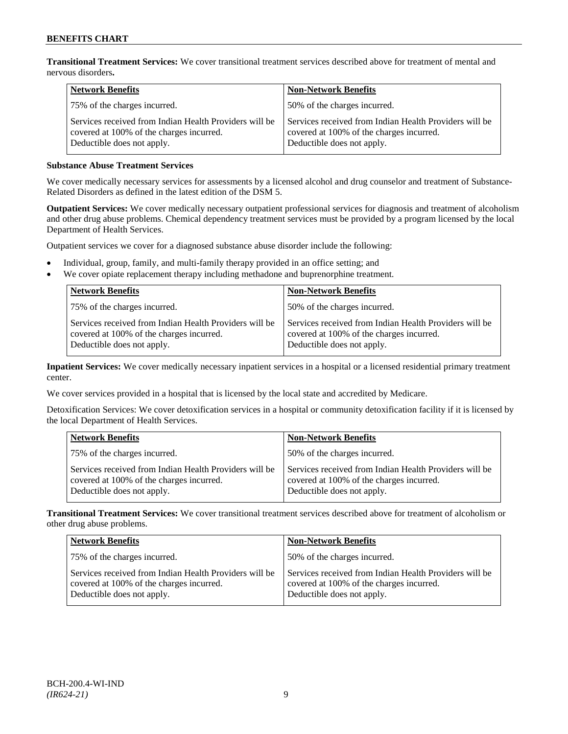**Transitional Treatment Services:** We cover transitional treatment services described above for treatment of mental and nervous disorders**.**

| <b>Network Benefits</b>                                                                                                          | <b>Non-Network Benefits</b>                                                                                                      |
|----------------------------------------------------------------------------------------------------------------------------------|----------------------------------------------------------------------------------------------------------------------------------|
| 75% of the charges incurred.                                                                                                     | 50% of the charges incurred.                                                                                                     |
| Services received from Indian Health Providers will be<br>covered at 100% of the charges incurred.<br>Deductible does not apply. | Services received from Indian Health Providers will be<br>covered at 100% of the charges incurred.<br>Deductible does not apply. |

# **Substance Abuse Treatment Services**

We cover medically necessary services for assessments by a licensed alcohol and drug counselor and treatment of Substance-Related Disorders as defined in the latest edition of the DSM 5.

**Outpatient Services:** We cover medically necessary outpatient professional services for diagnosis and treatment of alcoholism and other drug abuse problems. Chemical dependency treatment services must be provided by a program licensed by the local Department of Health Services.

Outpatient services we cover for a diagnosed substance abuse disorder include the following:

- Individual, group, family, and multi-family therapy provided in an office setting; and
- We cover opiate replacement therapy including methadone and buprenorphine treatment.

| <b>Network Benefits</b>                                                                                                          | <b>Non-Network Benefits</b>                                                                                                      |
|----------------------------------------------------------------------------------------------------------------------------------|----------------------------------------------------------------------------------------------------------------------------------|
| 75% of the charges incurred.                                                                                                     | 50% of the charges incurred.                                                                                                     |
| Services received from Indian Health Providers will be<br>covered at 100% of the charges incurred.<br>Deductible does not apply. | Services received from Indian Health Providers will be<br>covered at 100% of the charges incurred.<br>Deductible does not apply. |

**Inpatient Services:** We cover medically necessary inpatient services in a hospital or a licensed residential primary treatment center.

We cover services provided in a hospital that is licensed by the local state and accredited by Medicare.

Detoxification Services: We cover detoxification services in a hospital or community detoxification facility if it is licensed by the local Department of Health Services.

| <b>Network Benefits</b>                                                                                                          | <b>Non-Network Benefits</b>                                                                                                      |
|----------------------------------------------------------------------------------------------------------------------------------|----------------------------------------------------------------------------------------------------------------------------------|
| 75% of the charges incurred.                                                                                                     | 50% of the charges incurred.                                                                                                     |
| Services received from Indian Health Providers will be<br>covered at 100% of the charges incurred.<br>Deductible does not apply. | Services received from Indian Health Providers will be<br>covered at 100% of the charges incurred.<br>Deductible does not apply. |

**Transitional Treatment Services:** We cover transitional treatment services described above for treatment of alcoholism or other drug abuse problems.

| <b>Network Benefits</b>                                                                                                          | <b>Non-Network Benefits</b>                                                                                                      |
|----------------------------------------------------------------------------------------------------------------------------------|----------------------------------------------------------------------------------------------------------------------------------|
| 75% of the charges incurred.                                                                                                     | 50% of the charges incurred.                                                                                                     |
| Services received from Indian Health Providers will be<br>covered at 100% of the charges incurred.<br>Deductible does not apply. | Services received from Indian Health Providers will be<br>covered at 100% of the charges incurred.<br>Deductible does not apply. |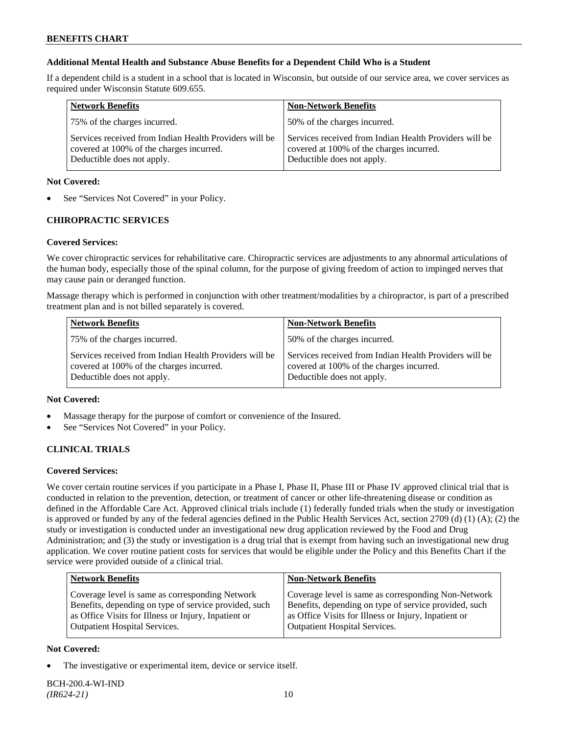# **Additional Mental Health and Substance Abuse Benefits for a Dependent Child Who is a Student**

If a dependent child is a student in a school that is located in Wisconsin, but outside of our service area, we cover services as required under Wisconsin Statute 609.655.

| <b>Network Benefits</b>                                                                                                          | <b>Non-Network Benefits</b>                                                                                                      |
|----------------------------------------------------------------------------------------------------------------------------------|----------------------------------------------------------------------------------------------------------------------------------|
| 75% of the charges incurred.                                                                                                     | 50% of the charges incurred.                                                                                                     |
| Services received from Indian Health Providers will be<br>covered at 100% of the charges incurred.<br>Deductible does not apply. | Services received from Indian Health Providers will be<br>covered at 100% of the charges incurred.<br>Deductible does not apply. |

# **Not Covered:**

See "Services Not Covered" in your Policy.

# **CHIROPRACTIC SERVICES**

# **Covered Services:**

We cover chiropractic services for rehabilitative care. Chiropractic services are adjustments to any abnormal articulations of the human body, especially those of the spinal column, for the purpose of giving freedom of action to impinged nerves that may cause pain or deranged function.

Massage therapy which is performed in conjunction with other treatment/modalities by a chiropractor, is part of a prescribed treatment plan and is not billed separately is covered.

| <b>Network Benefits</b>                                                                                                          | <b>Non-Network Benefits</b>                                                                                                      |
|----------------------------------------------------------------------------------------------------------------------------------|----------------------------------------------------------------------------------------------------------------------------------|
| 75% of the charges incurred.                                                                                                     | 50% of the charges incurred.                                                                                                     |
| Services received from Indian Health Providers will be<br>covered at 100% of the charges incurred.<br>Deductible does not apply. | Services received from Indian Health Providers will be<br>covered at 100% of the charges incurred.<br>Deductible does not apply. |

# **Not Covered:**

- Massage therapy for the purpose of comfort or convenience of the Insured.
- See "Services Not Covered" in your Policy.

# **CLINICAL TRIALS**

# **Covered Services:**

We cover certain routine services if you participate in a Phase I, Phase II, Phase III or Phase IV approved clinical trial that is conducted in relation to the prevention, detection, or treatment of cancer or other life-threatening disease or condition as defined in the Affordable Care Act. Approved clinical trials include (1) federally funded trials when the study or investigation is approved or funded by any of the federal agencies defined in the Public Health Services Act, section 2709 (d) (1) (A); (2) the study or investigation is conducted under an investigational new drug application reviewed by the Food and Drug Administration; and (3) the study or investigation is a drug trial that is exempt from having such an investigational new drug application. We cover routine patient costs for services that would be eligible under the Policy and this Benefits Chart if the service were provided outside of a clinical trial.

| <b>Network Benefits</b>                                                                                                                                          | <b>Non-Network Benefits</b>                                                                                                                                          |
|------------------------------------------------------------------------------------------------------------------------------------------------------------------|----------------------------------------------------------------------------------------------------------------------------------------------------------------------|
| Coverage level is same as corresponding Network<br>Benefits, depending on type of service provided, such<br>as Office Visits for Illness or Injury, Inpatient or | Coverage level is same as corresponding Non-Network<br>Benefits, depending on type of service provided, such<br>as Office Visits for Illness or Injury, Inpatient or |
| <b>Outpatient Hospital Services.</b>                                                                                                                             | Outpatient Hospital Services.                                                                                                                                        |

# **Not Covered:**

The investigative or experimental item, device or service itself.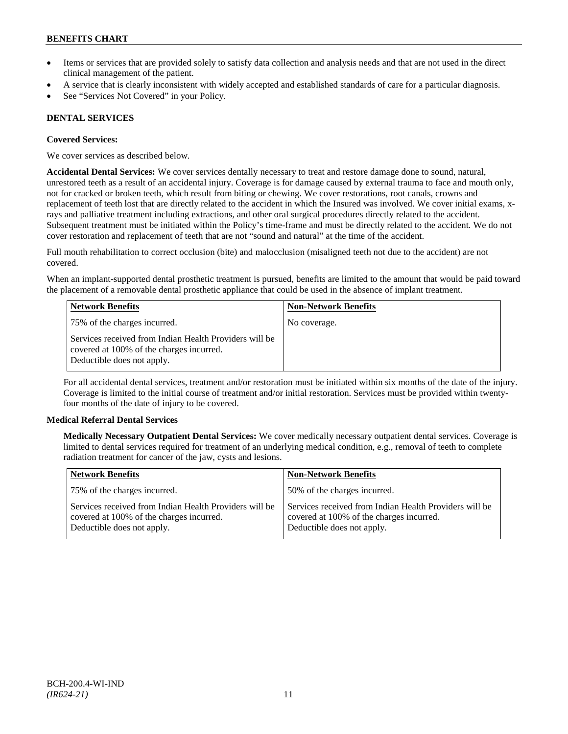- Items or services that are provided solely to satisfy data collection and analysis needs and that are not used in the direct clinical management of the patient.
- A service that is clearly inconsistent with widely accepted and established standards of care for a particular diagnosis.
- See "Services Not Covered" in your Policy.

# **DENTAL SERVICES**

#### **Covered Services:**

We cover services as described below.

**Accidental Dental Services:** We cover services dentally necessary to treat and restore damage done to sound, natural, unrestored teeth as a result of an accidental injury. Coverage is for damage caused by external trauma to face and mouth only, not for cracked or broken teeth, which result from biting or chewing. We cover restorations, root canals, crowns and replacement of teeth lost that are directly related to the accident in which the Insured was involved. We cover initial exams, xrays and palliative treatment including extractions, and other oral surgical procedures directly related to the accident. Subsequent treatment must be initiated within the Policy's time-frame and must be directly related to the accident. We do not cover restoration and replacement of teeth that are not "sound and natural" at the time of the accident.

Full mouth rehabilitation to correct occlusion (bite) and malocclusion (misaligned teeth not due to the accident) are not covered.

When an implant-supported dental prosthetic treatment is pursued, benefits are limited to the amount that would be paid toward the placement of a removable dental prosthetic appliance that could be used in the absence of implant treatment.

| <b>Network Benefits</b>                                                                                                          | <b>Non-Network Benefits</b> |
|----------------------------------------------------------------------------------------------------------------------------------|-----------------------------|
| 75% of the charges incurred.                                                                                                     | No coverage.                |
| Services received from Indian Health Providers will be<br>covered at 100% of the charges incurred.<br>Deductible does not apply. |                             |

For all accidental dental services, treatment and/or restoration must be initiated within six months of the date of the injury. Coverage is limited to the initial course of treatment and/or initial restoration. Services must be provided within twentyfour months of the date of injury to be covered.

# **Medical Referral Dental Services**

**Medically Necessary Outpatient Dental Services:** We cover medically necessary outpatient dental services. Coverage is limited to dental services required for treatment of an underlying medical condition, e.g., removal of teeth to complete radiation treatment for cancer of the jaw, cysts and lesions.

| <b>Network Benefits</b>                                                                                                          | <b>Non-Network Benefits</b>                                                                                                      |
|----------------------------------------------------------------------------------------------------------------------------------|----------------------------------------------------------------------------------------------------------------------------------|
| 75% of the charges incurred.                                                                                                     | 50% of the charges incurred.                                                                                                     |
| Services received from Indian Health Providers will be<br>covered at 100% of the charges incurred.<br>Deductible does not apply. | Services received from Indian Health Providers will be<br>covered at 100% of the charges incurred.<br>Deductible does not apply. |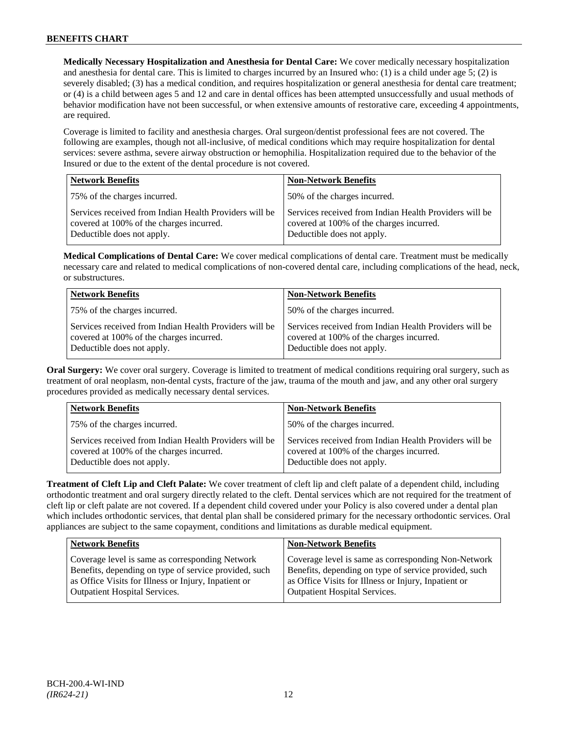**Medically Necessary Hospitalization and Anesthesia for Dental Care:** We cover medically necessary hospitalization and anesthesia for dental care. This is limited to charges incurred by an Insured who: (1) is a child under age  $5$ ; (2) is severely disabled; (3) has a medical condition, and requires hospitalization or general anesthesia for dental care treatment; or (4) is a child between ages 5 and 12 and care in dental offices has been attempted unsuccessfully and usual methods of behavior modification have not been successful, or when extensive amounts of restorative care, exceeding 4 appointments, are required.

Coverage is limited to facility and anesthesia charges. Oral surgeon/dentist professional fees are not covered. The following are examples, though not all-inclusive, of medical conditions which may require hospitalization for dental services: severe asthma, severe airway obstruction or hemophilia. Hospitalization required due to the behavior of the Insured or due to the extent of the dental procedure is not covered.

| <b>Network Benefits</b>                                                                                                          | <b>Non-Network Benefits</b>                                                                                                      |
|----------------------------------------------------------------------------------------------------------------------------------|----------------------------------------------------------------------------------------------------------------------------------|
| 75% of the charges incurred.                                                                                                     | 50% of the charges incurred.                                                                                                     |
| Services received from Indian Health Providers will be<br>covered at 100% of the charges incurred.<br>Deductible does not apply. | Services received from Indian Health Providers will be<br>covered at 100% of the charges incurred.<br>Deductible does not apply. |

**Medical Complications of Dental Care:** We cover medical complications of dental care. Treatment must be medically necessary care and related to medical complications of non-covered dental care, including complications of the head, neck, or substructures.

| <b>Network Benefits</b>                                                                                                          | <b>Non-Network Benefits</b>                                                                                                      |
|----------------------------------------------------------------------------------------------------------------------------------|----------------------------------------------------------------------------------------------------------------------------------|
| 75% of the charges incurred.                                                                                                     | 50% of the charges incurred.                                                                                                     |
| Services received from Indian Health Providers will be<br>covered at 100% of the charges incurred.<br>Deductible does not apply. | Services received from Indian Health Providers will be<br>covered at 100% of the charges incurred.<br>Deductible does not apply. |

**Oral Surgery:** We cover oral surgery. Coverage is limited to treatment of medical conditions requiring oral surgery, such as treatment of oral neoplasm, non-dental cysts, fracture of the jaw, trauma of the mouth and jaw, and any other oral surgery procedures provided as medically necessary dental services.

| <b>Network Benefits</b>                                                                                                          | <b>Non-Network Benefits</b>                                                                                                      |
|----------------------------------------------------------------------------------------------------------------------------------|----------------------------------------------------------------------------------------------------------------------------------|
| 75% of the charges incurred.                                                                                                     | 50% of the charges incurred.                                                                                                     |
| Services received from Indian Health Providers will be<br>covered at 100% of the charges incurred.<br>Deductible does not apply. | Services received from Indian Health Providers will be<br>covered at 100% of the charges incurred.<br>Deductible does not apply. |

**Treatment of Cleft Lip and Cleft Palate:** We cover treatment of cleft lip and cleft palate of a dependent child, including orthodontic treatment and oral surgery directly related to the cleft. Dental services which are not required for the treatment of cleft lip or cleft palate are not covered. If a dependent child covered under your Policy is also covered under a dental plan which includes orthodontic services, that dental plan shall be considered primary for the necessary orthodontic services. Oral appliances are subject to the same copayment, conditions and limitations as durable medical equipment.

| Network Benefits                                      | <b>Non-Network Benefits</b>                           |
|-------------------------------------------------------|-------------------------------------------------------|
| Coverage level is same as corresponding Network       | Coverage level is same as corresponding Non-Network   |
| Benefits, depending on type of service provided, such | Benefits, depending on type of service provided, such |
| as Office Visits for Illness or Injury, Inpatient or  | as Office Visits for Illness or Injury, Inpatient or  |
| Outpatient Hospital Services.                         | <b>Outpatient Hospital Services.</b>                  |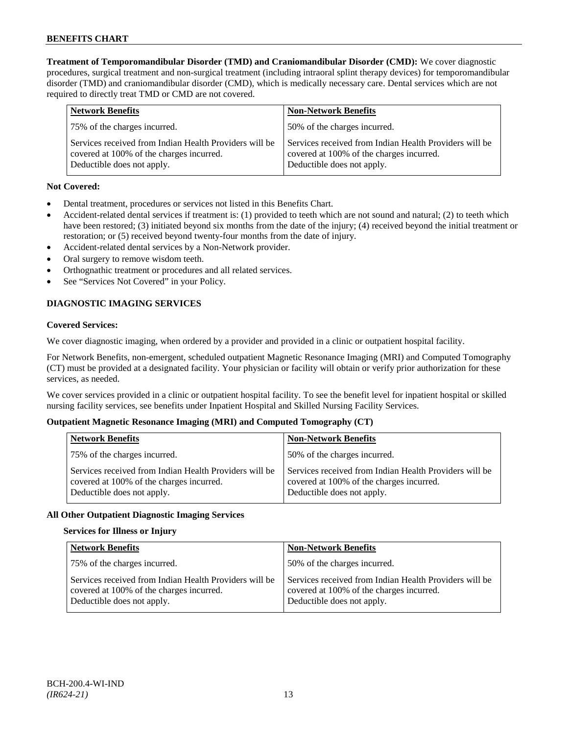**Treatment of Temporomandibular Disorder (TMD) and Craniomandibular Disorder (CMD):** We cover diagnostic procedures, surgical treatment and non-surgical treatment (including intraoral splint therapy devices) for temporomandibular disorder (TMD) and craniomandibular disorder (CMD), which is medically necessary care. Dental services which are not required to directly treat TMD or CMD are not covered.

| <b>Network Benefits</b>                                                                                                          | <b>Non-Network Benefits</b>                                                                                                      |
|----------------------------------------------------------------------------------------------------------------------------------|----------------------------------------------------------------------------------------------------------------------------------|
| 75% of the charges incurred.                                                                                                     | 50% of the charges incurred.                                                                                                     |
| Services received from Indian Health Providers will be<br>covered at 100% of the charges incurred.<br>Deductible does not apply. | Services received from Indian Health Providers will be<br>covered at 100% of the charges incurred.<br>Deductible does not apply. |

# **Not Covered:**

- Dental treatment, procedures or services not listed in this Benefits Chart.
- Accident-related dental services if treatment is: (1) provided to teeth which are not sound and natural; (2) to teeth which have been restored; (3) initiated beyond six months from the date of the injury; (4) received beyond the initial treatment or restoration; or (5) received beyond twenty-four months from the date of injury.
- Accident-related dental services by a Non-Network provider.
- Oral surgery to remove wisdom teeth.
- Orthognathic treatment or procedures and all related services.
- See "Services Not Covered" in your Policy.

# **DIAGNOSTIC IMAGING SERVICES**

#### **Covered Services:**

We cover diagnostic imaging, when ordered by a provider and provided in a clinic or outpatient hospital facility.

For Network Benefits, non-emergent, scheduled outpatient Magnetic Resonance Imaging (MRI) and Computed Tomography (CT) must be provided at a designated facility. Your physician or facility will obtain or verify prior authorization for these services, as needed.

We cover services provided in a clinic or outpatient hospital facility. To see the benefit level for inpatient hospital or skilled nursing facility services, see benefits under Inpatient Hospital and Skilled Nursing Facility Services.

# **Outpatient Magnetic Resonance Imaging (MRI) and Computed Tomography (CT)**

| <b>Network Benefits</b>                                                                                                          | <b>Non-Network Benefits</b>                                                                                                      |
|----------------------------------------------------------------------------------------------------------------------------------|----------------------------------------------------------------------------------------------------------------------------------|
| 75% of the charges incurred.                                                                                                     | 50% of the charges incurred.                                                                                                     |
| Services received from Indian Health Providers will be<br>covered at 100% of the charges incurred.<br>Deductible does not apply. | Services received from Indian Health Providers will be<br>covered at 100% of the charges incurred.<br>Deductible does not apply. |

# **All Other Outpatient Diagnostic Imaging Services**

# **Services for Illness or Injury**

| <b>Network Benefits</b>                                                                                                          | <b>Non-Network Benefits</b>                                                                                                      |
|----------------------------------------------------------------------------------------------------------------------------------|----------------------------------------------------------------------------------------------------------------------------------|
| 75% of the charges incurred.                                                                                                     | 50% of the charges incurred.                                                                                                     |
| Services received from Indian Health Providers will be<br>covered at 100% of the charges incurred.<br>Deductible does not apply. | Services received from Indian Health Providers will be<br>covered at 100% of the charges incurred.<br>Deductible does not apply. |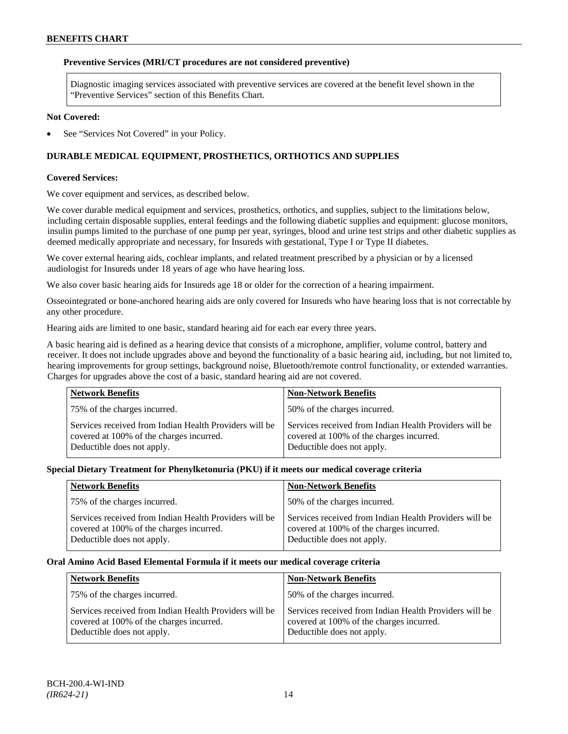### **Preventive Services (MRI/CT procedures are not considered preventive)**

Diagnostic imaging services associated with preventive services are covered at the benefit level shown in the "Preventive Services" section of this Benefits Chart.

#### **Not Covered:**

See "Services Not Covered" in your Policy.

# **DURABLE MEDICAL EQUIPMENT, PROSTHETICS, ORTHOTICS AND SUPPLIES**

#### **Covered Services:**

We cover equipment and services, as described below.

We cover durable medical equipment and services, prosthetics, orthotics, and supplies, subject to the limitations below, including certain disposable supplies, enteral feedings and the following diabetic supplies and equipment: glucose monitors, insulin pumps limited to the purchase of one pump per year, syringes, blood and urine test strips and other diabetic supplies as deemed medically appropriate and necessary, for Insureds with gestational, Type I or Type II diabetes.

We cover external hearing aids, cochlear implants, and related treatment prescribed by a physician or by a licensed audiologist for Insureds under 18 years of age who have hearing loss.

We also cover basic hearing aids for Insureds age 18 or older for the correction of a hearing impairment.

Osseointegrated or bone-anchored hearing aids are only covered for Insureds who have hearing loss that is not correctable by any other procedure.

Hearing aids are limited to one basic, standard hearing aid for each ear every three years.

A basic hearing aid is defined as a hearing device that consists of a microphone, amplifier, volume control, battery and receiver. It does not include upgrades above and beyond the functionality of a basic hearing aid, including, but not limited to, hearing improvements for group settings, background noise, Bluetooth/remote control functionality, or extended warranties. Charges for upgrades above the cost of a basic, standard hearing aid are not covered.

| <b>Network Benefits</b>                                                                                                          | <b>Non-Network Benefits</b>                                                                                                      |
|----------------------------------------------------------------------------------------------------------------------------------|----------------------------------------------------------------------------------------------------------------------------------|
| 75% of the charges incurred.                                                                                                     | 50% of the charges incurred.                                                                                                     |
| Services received from Indian Health Providers will be<br>covered at 100% of the charges incurred.<br>Deductible does not apply. | Services received from Indian Health Providers will be<br>covered at 100% of the charges incurred.<br>Deductible does not apply. |

# **Special Dietary Treatment for Phenylketonuria (PKU) if it meets our medical coverage criteria**

| <b>Network Benefits</b>                                                                                                          | <b>Non-Network Benefits</b>                                                                                                      |
|----------------------------------------------------------------------------------------------------------------------------------|----------------------------------------------------------------------------------------------------------------------------------|
| 75% of the charges incurred.                                                                                                     | 50% of the charges incurred.                                                                                                     |
| Services received from Indian Health Providers will be<br>covered at 100% of the charges incurred.<br>Deductible does not apply. | Services received from Indian Health Providers will be<br>covered at 100% of the charges incurred.<br>Deductible does not apply. |

#### **Oral Amino Acid Based Elemental Formula if it meets our medical coverage criteria**

| <b>Network Benefits</b>                                                                                                          | <b>Non-Network Benefits</b>                                                                                                      |
|----------------------------------------------------------------------------------------------------------------------------------|----------------------------------------------------------------------------------------------------------------------------------|
| 75% of the charges incurred.                                                                                                     | 50% of the charges incurred.                                                                                                     |
| Services received from Indian Health Providers will be<br>covered at 100% of the charges incurred.<br>Deductible does not apply. | Services received from Indian Health Providers will be<br>covered at 100% of the charges incurred.<br>Deductible does not apply. |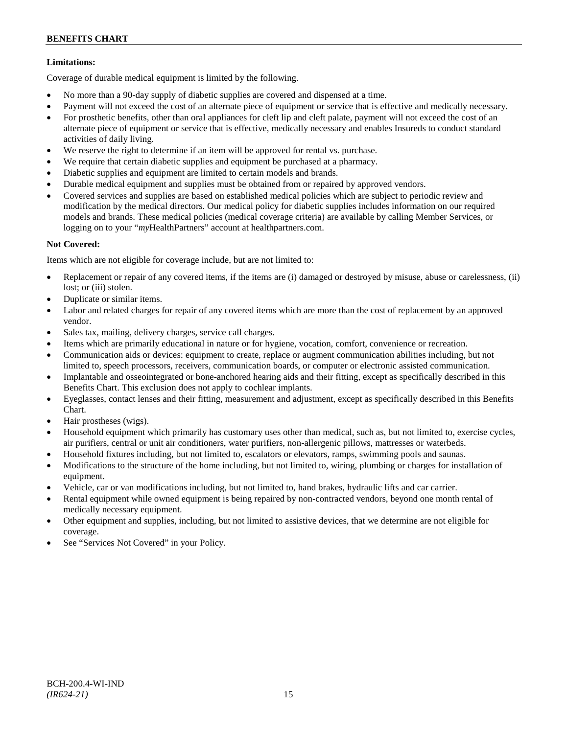# **Limitations:**

Coverage of durable medical equipment is limited by the following.

- No more than a 90-day supply of diabetic supplies are covered and dispensed at a time.
- Payment will not exceed the cost of an alternate piece of equipment or service that is effective and medically necessary.
- For prosthetic benefits, other than oral appliances for cleft lip and cleft palate, payment will not exceed the cost of an alternate piece of equipment or service that is effective, medically necessary and enables Insureds to conduct standard activities of daily living.
- We reserve the right to determine if an item will be approved for rental vs. purchase.
- We require that certain diabetic supplies and equipment be purchased at a pharmacy.
- Diabetic supplies and equipment are limited to certain models and brands.
- Durable medical equipment and supplies must be obtained from or repaired by approved vendors.
- Covered services and supplies are based on established medical policies which are subject to periodic review and modification by the medical directors. Our medical policy for diabetic supplies includes information on our required models and brands. These medical policies (medical coverage criteria) are available by calling Member Services, or logging on to your "*my*HealthPartners" account at [healthpartners.com.](http://www.healthpartners.com/)

# **Not Covered:**

Items which are not eligible for coverage include, but are not limited to:

- Replacement or repair of any covered items, if the items are (i) damaged or destroyed by misuse, abuse or carelessness, (ii) lost; or (iii) stolen.
- Duplicate or similar items.
- Labor and related charges for repair of any covered items which are more than the cost of replacement by an approved vendor.
- Sales tax, mailing, delivery charges, service call charges.
- Items which are primarily educational in nature or for hygiene, vocation, comfort, convenience or recreation.
- Communication aids or devices: equipment to create, replace or augment communication abilities including, but not limited to, speech processors, receivers, communication boards, or computer or electronic assisted communication.
- Implantable and osseointegrated or bone-anchored hearing aids and their fitting, except as specifically described in this Benefits Chart. This exclusion does not apply to cochlear implants.
- Eyeglasses, contact lenses and their fitting, measurement and adjustment, except as specifically described in this Benefits Chart.
- Hair prostheses (wigs).
- Household equipment which primarily has customary uses other than medical, such as, but not limited to, exercise cycles, air purifiers, central or unit air conditioners, water purifiers, non-allergenic pillows, mattresses or waterbeds.
- Household fixtures including, but not limited to, escalators or elevators, ramps, swimming pools and saunas.
- Modifications to the structure of the home including, but not limited to, wiring, plumbing or charges for installation of equipment.
- Vehicle, car or van modifications including, but not limited to, hand brakes, hydraulic lifts and car carrier.
- Rental equipment while owned equipment is being repaired by non-contracted vendors, beyond one month rental of medically necessary equipment.
- Other equipment and supplies, including, but not limited to assistive devices, that we determine are not eligible for coverage.
- See "Services Not Covered" in your Policy.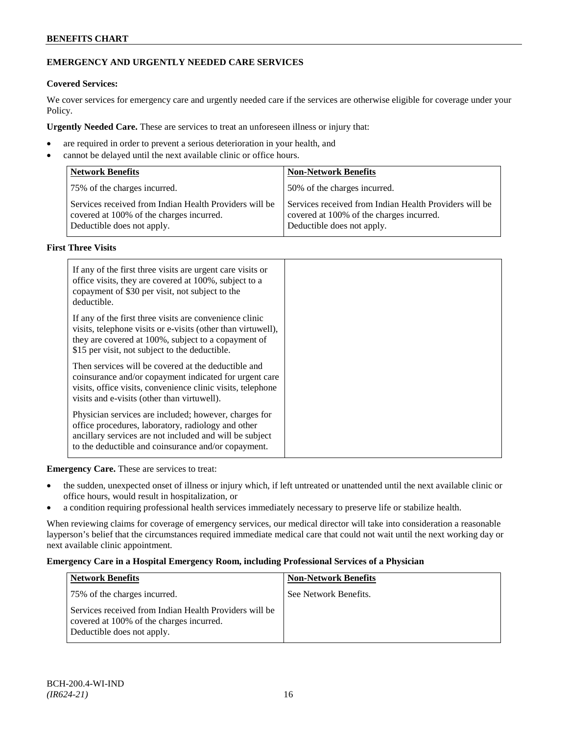# **EMERGENCY AND URGENTLY NEEDED CARE SERVICES**

# **Covered Services:**

We cover services for emergency care and urgently needed care if the services are otherwise eligible for coverage under your Policy.

**Urgently Needed Care.** These are services to treat an unforeseen illness or injury that:

- are required in order to prevent a serious deterioration in your health, and
- cannot be delayed until the next available clinic or office hours.

| <b>Network Benefits</b>                                                                                                          | <b>Non-Network Benefits</b>                                                                                                      |
|----------------------------------------------------------------------------------------------------------------------------------|----------------------------------------------------------------------------------------------------------------------------------|
| 75% of the charges incurred.                                                                                                     | 50% of the charges incurred.                                                                                                     |
| Services received from Indian Health Providers will be<br>covered at 100% of the charges incurred.<br>Deductible does not apply. | Services received from Indian Health Providers will be<br>covered at 100% of the charges incurred.<br>Deductible does not apply. |

# **First Three Visits**

| If any of the first three visits are urgent care visits or<br>office visits, they are covered at 100%, subject to a<br>copayment of \$30 per visit, not subject to the<br>deductible.                                            |
|----------------------------------------------------------------------------------------------------------------------------------------------------------------------------------------------------------------------------------|
| If any of the first three visits are convenience clinic<br>visits, telephone visits or e-visits (other than virtuwell),<br>they are covered at 100%, subject to a copayment of<br>\$15 per visit, not subject to the deductible. |
| Then services will be covered at the deductible and<br>coinsurance and/or copayment indicated for urgent care<br>visits, office visits, convenience clinic visits, telephone<br>visits and e-visits (other than virtuwell).      |
| Physician services are included; however, charges for<br>office procedures, laboratory, radiology and other<br>ancillary services are not included and will be subject<br>to the deductible and coinsurance and/or copayment.    |

**Emergency Care.** These are services to treat:

- the sudden, unexpected onset of illness or injury which, if left untreated or unattended until the next available clinic or office hours, would result in hospitalization, or
- a condition requiring professional health services immediately necessary to preserve life or stabilize health.

When reviewing claims for coverage of emergency services, our medical director will take into consideration a reasonable layperson's belief that the circumstances required immediate medical care that could not wait until the next working day or next available clinic appointment.

# **Emergency Care in a Hospital Emergency Room, including Professional Services of a Physician**

| <b>Network Benefits</b>                                                                                                          | <b>Non-Network Benefits</b> |
|----------------------------------------------------------------------------------------------------------------------------------|-----------------------------|
| 75% of the charges incurred.                                                                                                     | See Network Benefits.       |
| Services received from Indian Health Providers will be<br>covered at 100% of the charges incurred.<br>Deductible does not apply. |                             |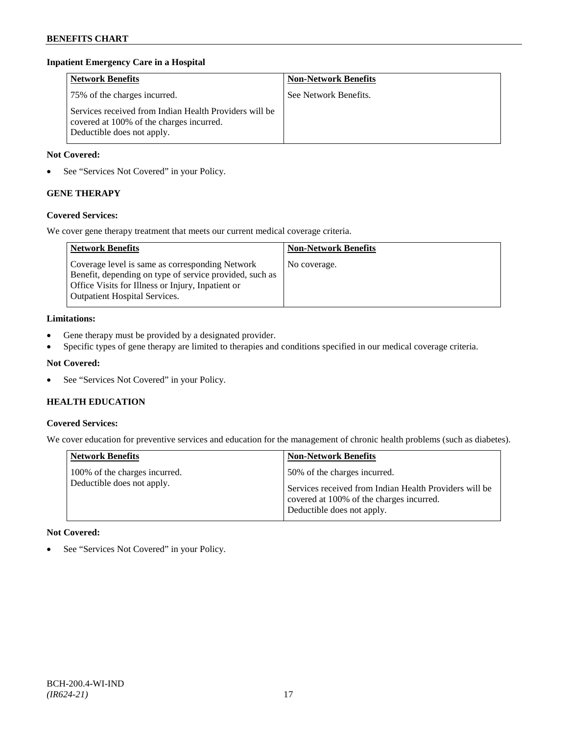# **Inpatient Emergency Care in a Hospital**

| <b>Network Benefits</b>                                                                                                          | <b>Non-Network Benefits</b> |
|----------------------------------------------------------------------------------------------------------------------------------|-----------------------------|
| 75% of the charges incurred.                                                                                                     | See Network Benefits.       |
| Services received from Indian Health Providers will be<br>covered at 100% of the charges incurred.<br>Deductible does not apply. |                             |

### **Not Covered:**

• See "Services Not Covered" in your Policy.

# **GENE THERAPY**

# **Covered Services:**

We cover gene therapy treatment that meets our current medical coverage criteria.

| <b>Network Benefits</b>                                                                                                                                                                                 | <b>Non-Network Benefits</b> |
|---------------------------------------------------------------------------------------------------------------------------------------------------------------------------------------------------------|-----------------------------|
| Coverage level is same as corresponding Network<br>Benefit, depending on type of service provided, such as<br>Office Visits for Illness or Injury, Inpatient or<br><b>Outpatient Hospital Services.</b> | No coverage.                |

#### **Limitations:**

- Gene therapy must be provided by a designated provider.
- Specific types of gene therapy are limited to therapies and conditions specified in our medical coverage criteria.

# **Not Covered:**

• See "Services Not Covered" in your Policy.

# **HEALTH EDUCATION**

#### **Covered Services:**

We cover education for preventive services and education for the management of chronic health problems (such as diabetes).

| <b>Network Benefits</b>                                     | <b>Non-Network Benefits</b>                                                                                                                                      |
|-------------------------------------------------------------|------------------------------------------------------------------------------------------------------------------------------------------------------------------|
| 100% of the charges incurred.<br>Deductible does not apply. | 50% of the charges incurred.<br>Services received from Indian Health Providers will be<br>covered at 100% of the charges incurred.<br>Deductible does not apply. |

# **Not Covered:**

• See "Services Not Covered" in your Policy.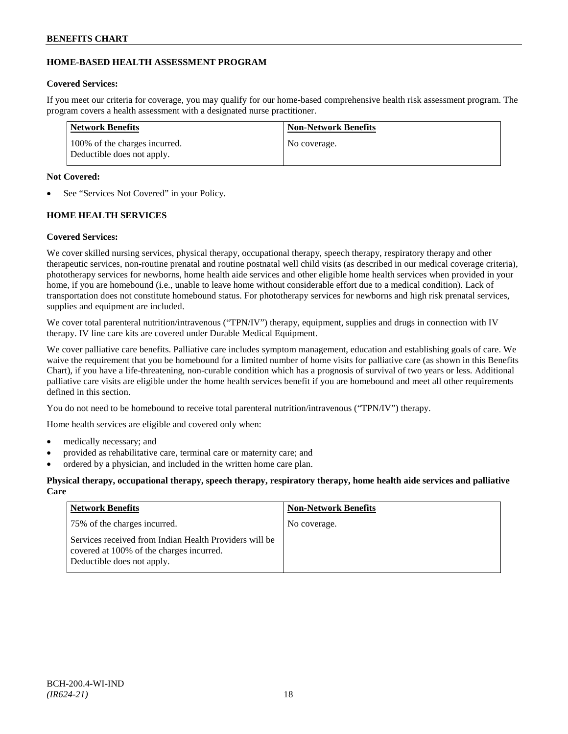# **HOME-BASED HEALTH ASSESSMENT PROGRAM**

# **Covered Services:**

If you meet our criteria for coverage, you may qualify for our home-based comprehensive health risk assessment program. The program covers a health assessment with a designated nurse practitioner.

| Network Benefits                                            | <b>Non-Network Benefits</b> |
|-------------------------------------------------------------|-----------------------------|
| 100% of the charges incurred.<br>Deductible does not apply. | No coverage.                |

# **Not Covered:**

See "Services Not Covered" in your Policy.

# **HOME HEALTH SERVICES**

# **Covered Services:**

We cover skilled nursing services, physical therapy, occupational therapy, speech therapy, respiratory therapy and other therapeutic services, non-routine prenatal and routine postnatal well child visits (as described in our medical coverage criteria), phototherapy services for newborns, home health aide services and other eligible home health services when provided in your home, if you are homebound (i.e., unable to leave home without considerable effort due to a medical condition). Lack of transportation does not constitute homebound status. For phototherapy services for newborns and high risk prenatal services, supplies and equipment are included.

We cover total parenteral nutrition/intravenous ("TPN/IV") therapy, equipment, supplies and drugs in connection with IV therapy. IV line care kits are covered under Durable Medical Equipment.

We cover palliative care benefits. Palliative care includes symptom management, education and establishing goals of care. We waive the requirement that you be homebound for a limited number of home visits for palliative care (as shown in this Benefits Chart), if you have a life-threatening, non-curable condition which has a prognosis of survival of two years or less. Additional palliative care visits are eligible under the home health services benefit if you are homebound and meet all other requirements defined in this section.

You do not need to be homebound to receive total parenteral nutrition/intravenous ("TPN/IV") therapy.

Home health services are eligible and covered only when:

- medically necessary; and
- provided as rehabilitative care, terminal care or maternity care; and
- ordered by a physician, and included in the written home care plan.

# **Physical therapy, occupational therapy, speech therapy, respiratory therapy, home health aide services and palliative Care**

| <b>Network Benefits</b>                                                                                                          | <b>Non-Network Benefits</b> |
|----------------------------------------------------------------------------------------------------------------------------------|-----------------------------|
| 75% of the charges incurred.                                                                                                     | No coverage.                |
| Services received from Indian Health Providers will be<br>covered at 100% of the charges incurred.<br>Deductible does not apply. |                             |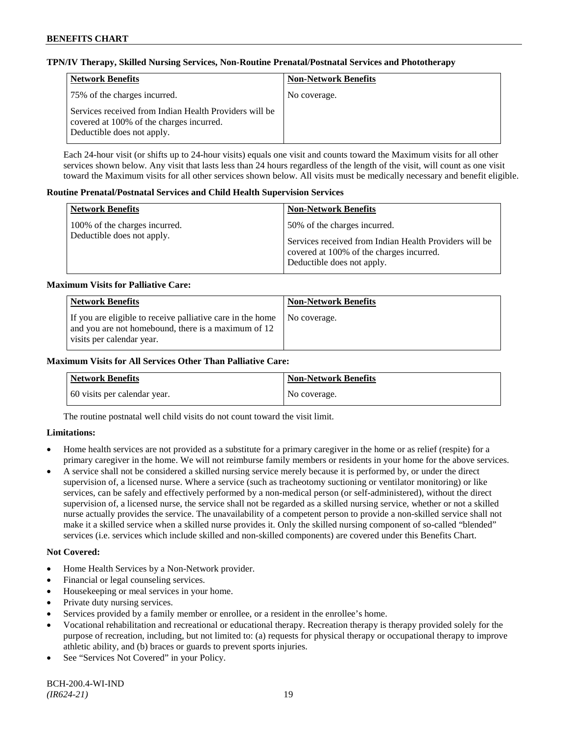### **TPN/IV Therapy, Skilled Nursing Services, Non-Routine Prenatal/Postnatal Services and Phototherapy**

| Network Benefits                                                                                                                 | <b>Non-Network Benefits</b> |
|----------------------------------------------------------------------------------------------------------------------------------|-----------------------------|
| 75% of the charges incurred.                                                                                                     | No coverage.                |
| Services received from Indian Health Providers will be<br>covered at 100% of the charges incurred.<br>Deductible does not apply. |                             |

Each 24-hour visit (or shifts up to 24-hour visits) equals one visit and counts toward the Maximum visits for all other services shown below. Any visit that lasts less than 24 hours regardless of the length of the visit, will count as one visit toward the Maximum visits for all other services shown below. All visits must be medically necessary and benefit eligible.

#### **Routine Prenatal/Postnatal Services and Child Health Supervision Services**

| <b>Network Benefits</b>                                     | <b>Non-Network Benefits</b>                                                                                                                                      |
|-------------------------------------------------------------|------------------------------------------------------------------------------------------------------------------------------------------------------------------|
| 100% of the charges incurred.<br>Deductible does not apply. | 50% of the charges incurred.<br>Services received from Indian Health Providers will be<br>covered at 100% of the charges incurred.<br>Deductible does not apply. |

#### **Maximum Visits for Palliative Care:**

| <b>Network Benefits</b>                                                                                                                        | <b>Non-Network Benefits</b> |
|------------------------------------------------------------------------------------------------------------------------------------------------|-----------------------------|
| If you are eligible to receive palliative care in the home<br>and you are not homebound, there is a maximum of 12<br>visits per calendar year. | No coverage.                |

#### **Maximum Visits for All Services Other Than Palliative Care:**

| Network Benefits             | <b>Non-Network Benefits</b> |
|------------------------------|-----------------------------|
| 60 visits per calendar year. | No coverage.                |

The routine postnatal well child visits do not count toward the visit limit.

# **Limitations:**

- Home health services are not provided as a substitute for a primary caregiver in the home or as relief (respite) for a primary caregiver in the home. We will not reimburse family members or residents in your home for the above services.
- A service shall not be considered a skilled nursing service merely because it is performed by, or under the direct supervision of, a licensed nurse. Where a service (such as tracheotomy suctioning or ventilator monitoring) or like services, can be safely and effectively performed by a non-medical person (or self-administered), without the direct supervision of, a licensed nurse, the service shall not be regarded as a skilled nursing service, whether or not a skilled nurse actually provides the service. The unavailability of a competent person to provide a non-skilled service shall not make it a skilled service when a skilled nurse provides it. Only the skilled nursing component of so-called "blended" services (i.e. services which include skilled and non-skilled components) are covered under this Benefits Chart.

#### **Not Covered:**

- Home Health Services by a Non-Network provider.
- Financial or legal counseling services.
- Housekeeping or meal services in your home.
- Private duty nursing services.
- Services provided by a family member or enrollee, or a resident in the enrollee's home.
- Vocational rehabilitation and recreational or educational therapy. Recreation therapy is therapy provided solely for the purpose of recreation, including, but not limited to: (a) requests for physical therapy or occupational therapy to improve athletic ability, and (b) braces or guards to prevent sports injuries.
- See "Services Not Covered" in your Policy.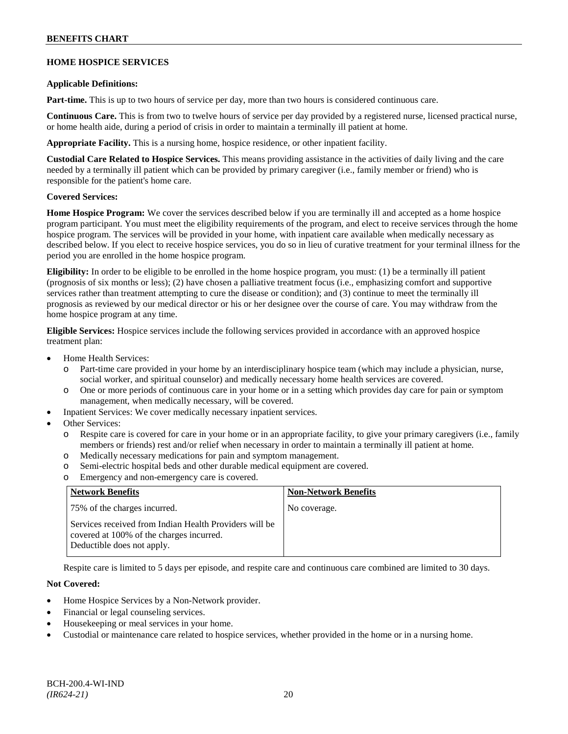# **HOME HOSPICE SERVICES**

#### **Applicable Definitions:**

**Part-time.** This is up to two hours of service per day, more than two hours is considered continuous care.

**Continuous Care.** This is from two to twelve hours of service per day provided by a registered nurse, licensed practical nurse, or home health aide, during a period of crisis in order to maintain a terminally ill patient at home.

**Appropriate Facility.** This is a nursing home, hospice residence, or other inpatient facility.

**Custodial Care Related to Hospice Services.** This means providing assistance in the activities of daily living and the care needed by a terminally ill patient which can be provided by primary caregiver (i.e., family member or friend) who is responsible for the patient's home care.

# **Covered Services:**

**Home Hospice Program:** We cover the services described below if you are terminally ill and accepted as a home hospice program participant. You must meet the eligibility requirements of the program, and elect to receive services through the home hospice program. The services will be provided in your home, with inpatient care available when medically necessary as described below. If you elect to receive hospice services, you do so in lieu of curative treatment for your terminal illness for the period you are enrolled in the home hospice program.

**Eligibility:** In order to be eligible to be enrolled in the home hospice program, you must: (1) be a terminally ill patient (prognosis of six months or less); (2) have chosen a palliative treatment focus (i.e., emphasizing comfort and supportive services rather than treatment attempting to cure the disease or condition); and (3) continue to meet the terminally ill prognosis as reviewed by our medical director or his or her designee over the course of care. You may withdraw from the home hospice program at any time.

**Eligible Services:** Hospice services include the following services provided in accordance with an approved hospice treatment plan:

- Home Health Services:
	- o Part-time care provided in your home by an interdisciplinary hospice team (which may include a physician, nurse, social worker, and spiritual counselor) and medically necessary home health services are covered.
	- o One or more periods of continuous care in your home or in a setting which provides day care for pain or symptom management, when medically necessary, will be covered.
- Inpatient Services: We cover medically necessary inpatient services.
- Other Services:
	- o Respite care is covered for care in your home or in an appropriate facility, to give your primary caregivers (i.e., family members or friends) rest and/or relief when necessary in order to maintain a terminally ill patient at home*.*
	- o Medically necessary medications for pain and symptom management.
	- o Semi-electric hospital beds and other durable medical equipment are covered.
	- o Emergency and non-emergency care is covered.

| <b>Network Benefits</b>                                                                                                          | <b>Non-Network Benefits</b> |
|----------------------------------------------------------------------------------------------------------------------------------|-----------------------------|
| 75% of the charges incurred.                                                                                                     | No coverage.                |
| Services received from Indian Health Providers will be<br>covered at 100% of the charges incurred.<br>Deductible does not apply. |                             |

Respite care is limited to 5 days per episode, and respite care and continuous care combined are limited to 30 days.

# **Not Covered:**

- Home Hospice Services by a Non-Network provider.
- Financial or legal counseling services.
- Housekeeping or meal services in your home.
- Custodial or maintenance care related to hospice services, whether provided in the home or in a nursing home.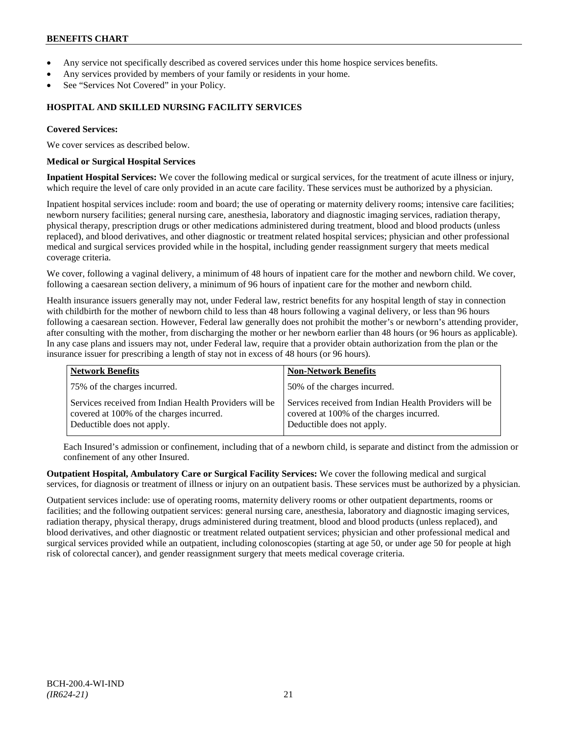- Any service not specifically described as covered services under this home hospice services benefits.
- Any services provided by members of your family or residents in your home.
- See "Services Not Covered" in your Policy.

# **HOSPITAL AND SKILLED NURSING FACILITY SERVICES**

#### **Covered Services:**

We cover services as described below.

#### **Medical or Surgical Hospital Services**

**Inpatient Hospital Services:** We cover the following medical or surgical services, for the treatment of acute illness or injury, which require the level of care only provided in an acute care facility. These services must be authorized by a physician.

Inpatient hospital services include: room and board; the use of operating or maternity delivery rooms; intensive care facilities; newborn nursery facilities; general nursing care, anesthesia, laboratory and diagnostic imaging services, radiation therapy, physical therapy, prescription drugs or other medications administered during treatment, blood and blood products (unless replaced), and blood derivatives, and other diagnostic or treatment related hospital services; physician and other professional medical and surgical services provided while in the hospital, including gender reassignment surgery that meets medical coverage criteria.

We cover, following a vaginal delivery, a minimum of 48 hours of inpatient care for the mother and newborn child. We cover, following a caesarean section delivery, a minimum of 96 hours of inpatient care for the mother and newborn child.

Health insurance issuers generally may not, under Federal law, restrict benefits for any hospital length of stay in connection with childbirth for the mother of newborn child to less than 48 hours following a vaginal delivery, or less than 96 hours following a caesarean section. However, Federal law generally does not prohibit the mother's or newborn's attending provider, after consulting with the mother, from discharging the mother or her newborn earlier than 48 hours (or 96 hours as applicable). In any case plans and issuers may not, under Federal law, require that a provider obtain authorization from the plan or the insurance issuer for prescribing a length of stay not in excess of 48 hours (or 96 hours).

| <b>Network Benefits</b>                                                                                                          | <b>Non-Network Benefits</b>                                                                                                      |
|----------------------------------------------------------------------------------------------------------------------------------|----------------------------------------------------------------------------------------------------------------------------------|
| 75% of the charges incurred.                                                                                                     | 50% of the charges incurred.                                                                                                     |
| Services received from Indian Health Providers will be<br>covered at 100% of the charges incurred.<br>Deductible does not apply. | Services received from Indian Health Providers will be<br>covered at 100% of the charges incurred.<br>Deductible does not apply. |

Each Insured's admission or confinement, including that of a newborn child, is separate and distinct from the admission or confinement of any other Insured.

**Outpatient Hospital, Ambulatory Care or Surgical Facility Services:** We cover the following medical and surgical services, for diagnosis or treatment of illness or injury on an outpatient basis. These services must be authorized by a physician.

Outpatient services include: use of operating rooms, maternity delivery rooms or other outpatient departments, rooms or facilities; and the following outpatient services: general nursing care, anesthesia, laboratory and diagnostic imaging services, radiation therapy, physical therapy, drugs administered during treatment, blood and blood products (unless replaced), and blood derivatives, and other diagnostic or treatment related outpatient services; physician and other professional medical and surgical services provided while an outpatient, including colonoscopies (starting at age 50, or under age 50 for people at high risk of colorectal cancer), and gender reassignment surgery that meets medical coverage criteria.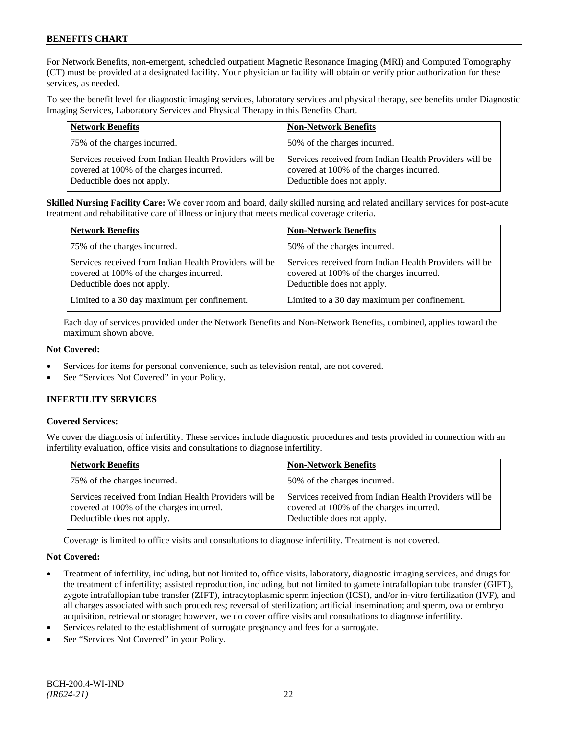For Network Benefits, non-emergent, scheduled outpatient Magnetic Resonance Imaging (MRI) and Computed Tomography (CT) must be provided at a designated facility. Your physician or facility will obtain or verify prior authorization for these services, as needed.

To see the benefit level for diagnostic imaging services, laboratory services and physical therapy, see benefits under Diagnostic Imaging Services, Laboratory Services and Physical Therapy in this Benefits Chart.

| <b>Network Benefits</b>                                                                                                          | <b>Non-Network Benefits</b>                                                                                                      |
|----------------------------------------------------------------------------------------------------------------------------------|----------------------------------------------------------------------------------------------------------------------------------|
| 75% of the charges incurred.                                                                                                     | 50% of the charges incurred.                                                                                                     |
| Services received from Indian Health Providers will be<br>covered at 100% of the charges incurred.<br>Deductible does not apply. | Services received from Indian Health Providers will be<br>covered at 100% of the charges incurred.<br>Deductible does not apply. |

**Skilled Nursing Facility Care:** We cover room and board, daily skilled nursing and related ancillary services for post-acute treatment and rehabilitative care of illness or injury that meets medical coverage criteria.

| <b>Network Benefits</b>                                                                                                          | <b>Non-Network Benefits</b>                                                                                                      |
|----------------------------------------------------------------------------------------------------------------------------------|----------------------------------------------------------------------------------------------------------------------------------|
| 75% of the charges incurred.                                                                                                     | 50% of the charges incurred.                                                                                                     |
| Services received from Indian Health Providers will be<br>covered at 100% of the charges incurred.<br>Deductible does not apply. | Services received from Indian Health Providers will be<br>covered at 100% of the charges incurred.<br>Deductible does not apply. |
| Limited to a 30 day maximum per confinement.                                                                                     | Limited to a 30 day maximum per confinement.                                                                                     |

Each day of services provided under the Network Benefits and Non-Network Benefits, combined, applies toward the maximum shown above.

# **Not Covered:**

- Services for items for personal convenience, such as television rental, are not covered.
- See "Services Not Covered" in your Policy.

# **INFERTILITY SERVICES**

# **Covered Services:**

We cover the diagnosis of infertility. These services include diagnostic procedures and tests provided in connection with an infertility evaluation, office visits and consultations to diagnose infertility.

| <b>Network Benefits</b>                                                                                                          | <b>Non-Network Benefits</b>                                                                                                      |
|----------------------------------------------------------------------------------------------------------------------------------|----------------------------------------------------------------------------------------------------------------------------------|
| 75% of the charges incurred.                                                                                                     | 50% of the charges incurred.                                                                                                     |
| Services received from Indian Health Providers will be<br>covered at 100% of the charges incurred.<br>Deductible does not apply. | Services received from Indian Health Providers will be<br>covered at 100% of the charges incurred.<br>Deductible does not apply. |

Coverage is limited to office visits and consultations to diagnose infertility. Treatment is not covered.

# **Not Covered:**

- Treatment of infertility, including, but not limited to, office visits, laboratory, diagnostic imaging services, and drugs for the treatment of infertility; assisted reproduction, including, but not limited to gamete intrafallopian tube transfer (GIFT), zygote intrafallopian tube transfer (ZIFT), intracytoplasmic sperm injection (ICSI), and/or in-vitro fertilization (IVF), and all charges associated with such procedures; reversal of sterilization; artificial insemination; and sperm, ova or embryo acquisition, retrieval or storage; however, we do cover office visits and consultations to diagnose infertility.
- Services related to the establishment of surrogate pregnancy and fees for a surrogate.
- See "Services Not Covered" in your Policy.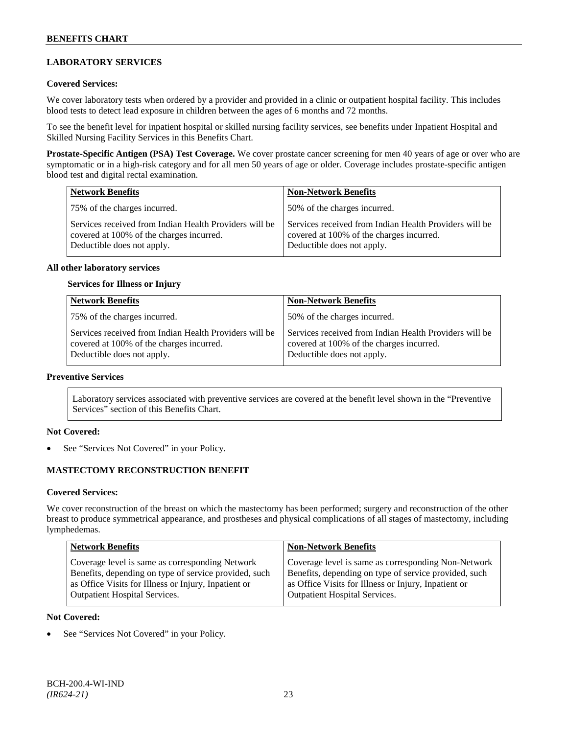# **LABORATORY SERVICES**

### **Covered Services:**

We cover laboratory tests when ordered by a provider and provided in a clinic or outpatient hospital facility. This includes blood tests to detect lead exposure in children between the ages of 6 months and 72 months.

To see the benefit level for inpatient hospital or skilled nursing facility services, see benefits under Inpatient Hospital and Skilled Nursing Facility Services in this Benefits Chart.

**Prostate-Specific Antigen (PSA) Test Coverage.** We cover prostate cancer screening for men 40 years of age or over who are symptomatic or in a high-risk category and for all men 50 years of age or older. Coverage includes prostate-specific antigen blood test and digital rectal examination.

| <b>Network Benefits</b>                                                                                                          | <b>Non-Network Benefits</b>                                                                                                      |
|----------------------------------------------------------------------------------------------------------------------------------|----------------------------------------------------------------------------------------------------------------------------------|
| 75% of the charges incurred.                                                                                                     | 50% of the charges incurred.                                                                                                     |
| Services received from Indian Health Providers will be<br>covered at 100% of the charges incurred.<br>Deductible does not apply. | Services received from Indian Health Providers will be<br>covered at 100% of the charges incurred.<br>Deductible does not apply. |

#### **All other laboratory services**

#### **Services for Illness or Injury**

| <b>Network Benefits</b>                                                                                                          | <b>Non-Network Benefits</b>                                                                                                      |
|----------------------------------------------------------------------------------------------------------------------------------|----------------------------------------------------------------------------------------------------------------------------------|
| 75% of the charges incurred.                                                                                                     | 50% of the charges incurred.                                                                                                     |
| Services received from Indian Health Providers will be<br>covered at 100% of the charges incurred.<br>Deductible does not apply. | Services received from Indian Health Providers will be<br>covered at 100% of the charges incurred.<br>Deductible does not apply. |

# **Preventive Services**

Laboratory services associated with preventive services are covered at the benefit level shown in the "Preventive Services" section of this Benefits Chart.

#### **Not Covered:**

See "Services Not Covered" in your Policy.

# **MASTECTOMY RECONSTRUCTION BENEFIT**

#### **Covered Services:**

We cover reconstruction of the breast on which the mastectomy has been performed; surgery and reconstruction of the other breast to produce symmetrical appearance, and prostheses and physical complications of all stages of mastectomy, including lymphedemas.

| <b>Network Benefits</b>                               | <b>Non-Network Benefits</b>                           |
|-------------------------------------------------------|-------------------------------------------------------|
| Coverage level is same as corresponding Network       | Coverage level is same as corresponding Non-Network   |
| Benefits, depending on type of service provided, such | Benefits, depending on type of service provided, such |
| as Office Visits for Illness or Injury, Inpatient or  | as Office Visits for Illness or Injury, Inpatient or  |
| <b>Outpatient Hospital Services.</b>                  | <b>Outpatient Hospital Services.</b>                  |

#### **Not Covered:**

See "Services Not Covered" in your Policy.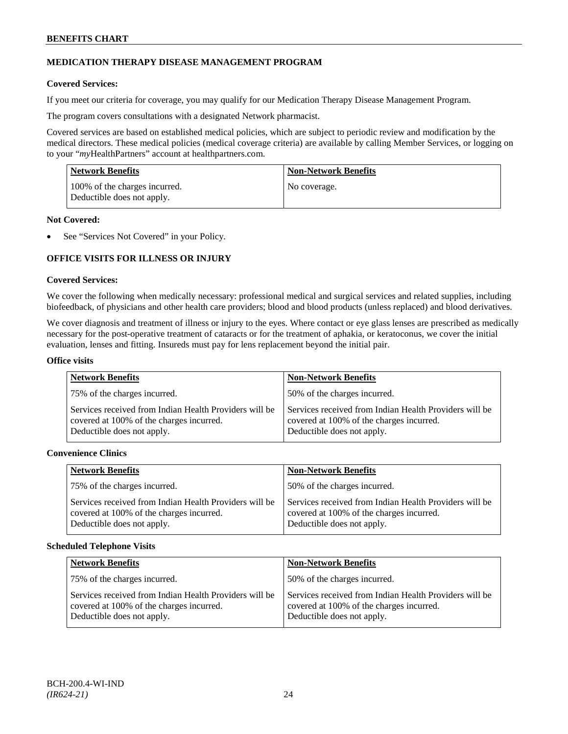# **MEDICATION THERAPY DISEASE MANAGEMENT PROGRAM**

### **Covered Services:**

If you meet our criteria for coverage, you may qualify for our Medication Therapy Disease Management Program.

The program covers consultations with a designated Network pharmacist.

Covered services are based on established medical policies, which are subject to periodic review and modification by the medical directors. These medical policies (medical coverage criteria) are available by calling Member Services, or logging on to your "*my*HealthPartners" account at [healthpartners.com.](http://www.healthpartners.com/)

| <b>Network Benefits</b>                                     | <b>Non-Network Benefits</b> |
|-------------------------------------------------------------|-----------------------------|
| 100% of the charges incurred.<br>Deductible does not apply. | No coverage.                |

### **Not Covered:**

See "Services Not Covered" in your Policy.

# **OFFICE VISITS FOR ILLNESS OR INJURY**

#### **Covered Services:**

We cover the following when medically necessary: professional medical and surgical services and related supplies, including biofeedback, of physicians and other health care providers; blood and blood products (unless replaced) and blood derivatives.

We cover diagnosis and treatment of illness or injury to the eyes. Where contact or eye glass lenses are prescribed as medically necessary for the post-operative treatment of cataracts or for the treatment of aphakia, or keratoconus, we cover the initial evaluation, lenses and fitting. Insureds must pay for lens replacement beyond the initial pair.

#### **Office visits**

| <b>Network Benefits</b>                                                                                                          | <b>Non-Network Benefits</b>                                                                                                      |
|----------------------------------------------------------------------------------------------------------------------------------|----------------------------------------------------------------------------------------------------------------------------------|
| 75% of the charges incurred.                                                                                                     | 50% of the charges incurred.                                                                                                     |
| Services received from Indian Health Providers will be<br>covered at 100% of the charges incurred.<br>Deductible does not apply. | Services received from Indian Health Providers will be<br>covered at 100% of the charges incurred.<br>Deductible does not apply. |

# **Convenience Clinics**

| <b>Network Benefits</b>                                                                                                          | <b>Non-Network Benefits</b>                                                                                                      |
|----------------------------------------------------------------------------------------------------------------------------------|----------------------------------------------------------------------------------------------------------------------------------|
| 75% of the charges incurred.                                                                                                     | 50% of the charges incurred.                                                                                                     |
| Services received from Indian Health Providers will be<br>covered at 100% of the charges incurred.<br>Deductible does not apply. | Services received from Indian Health Providers will be<br>covered at 100% of the charges incurred.<br>Deductible does not apply. |

#### **Scheduled Telephone Visits**

| <b>Network Benefits</b>                                                                                                          | <b>Non-Network Benefits</b>                                                                                                      |
|----------------------------------------------------------------------------------------------------------------------------------|----------------------------------------------------------------------------------------------------------------------------------|
| 75% of the charges incurred.                                                                                                     | 50% of the charges incurred.                                                                                                     |
| Services received from Indian Health Providers will be<br>covered at 100% of the charges incurred.<br>Deductible does not apply. | Services received from Indian Health Providers will be<br>covered at 100% of the charges incurred.<br>Deductible does not apply. |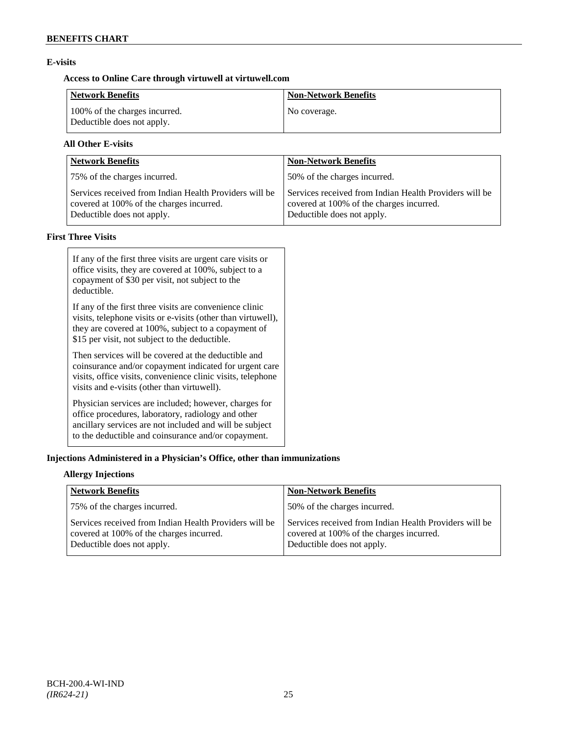# **E-visits**

# **Access to Online Care through virtuwell a[t virtuwell.com](http://www.virtuwell.com/)**

| Network Benefits                                            | <b>Non-Network Benefits</b> |
|-------------------------------------------------------------|-----------------------------|
| 100% of the charges incurred.<br>Deductible does not apply. | No coverage.                |

# **All Other E-visits**

| <b>Network Benefits</b>                                                                                                          | <b>Non-Network Benefits</b>                                                                                                      |
|----------------------------------------------------------------------------------------------------------------------------------|----------------------------------------------------------------------------------------------------------------------------------|
| 75% of the charges incurred.                                                                                                     | 50% of the charges incurred.                                                                                                     |
| Services received from Indian Health Providers will be<br>covered at 100% of the charges incurred.<br>Deductible does not apply. | Services received from Indian Health Providers will be<br>covered at 100% of the charges incurred.<br>Deductible does not apply. |

# **First Three Visits**

| If any of the first three visits are urgent care visits or<br>office visits, they are covered at 100%, subject to a<br>copayment of \$30 per visit, not subject to the<br>deductible.                                            |
|----------------------------------------------------------------------------------------------------------------------------------------------------------------------------------------------------------------------------------|
| If any of the first three visits are convenience clinic<br>visits, telephone visits or e-visits (other than virtuwell),<br>they are covered at 100%, subject to a copayment of<br>\$15 per visit, not subject to the deductible. |
| Then services will be covered at the deductible and<br>coinsurance and/or copayment indicated for urgent care<br>visits, office visits, convenience clinic visits, telephone<br>visits and e-visits (other than virtuwell).      |
| Physician services are included; however, charges for<br>office procedures, laboratory, radiology and other<br>ancillary services are not included and will be subject<br>to the deductible and coinsurance and/or copayment.    |

# **Injections Administered in a Physician's Office, other than immunizations**

# **Allergy Injections**

| <b>Network Benefits</b>                                                                                                          | <b>Non-Network Benefits</b>                                                                                                      |
|----------------------------------------------------------------------------------------------------------------------------------|----------------------------------------------------------------------------------------------------------------------------------|
| 75% of the charges incurred.                                                                                                     | 50% of the charges incurred.                                                                                                     |
| Services received from Indian Health Providers will be<br>covered at 100% of the charges incurred.<br>Deductible does not apply. | Services received from Indian Health Providers will be<br>covered at 100% of the charges incurred.<br>Deductible does not apply. |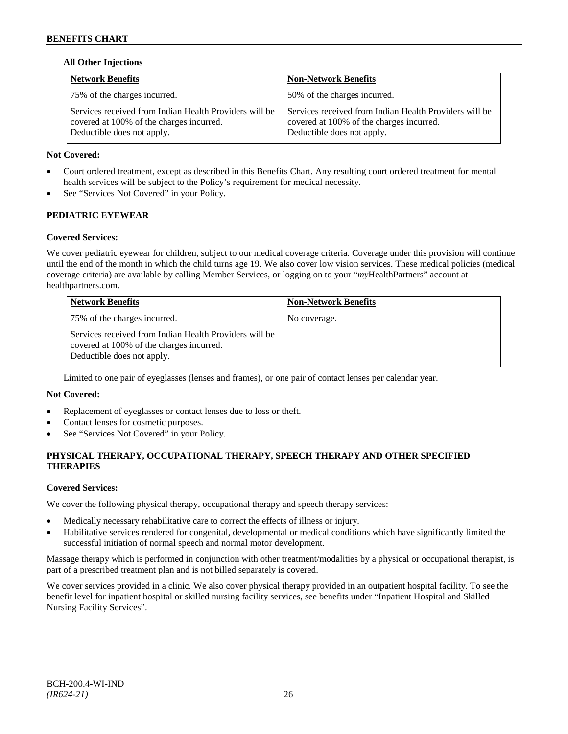# **All Other Injections**

| <b>Network Benefits</b>                                                                                                          | <b>Non-Network Benefits</b>                                                                                                      |
|----------------------------------------------------------------------------------------------------------------------------------|----------------------------------------------------------------------------------------------------------------------------------|
| 75% of the charges incurred.                                                                                                     | 50% of the charges incurred.                                                                                                     |
| Services received from Indian Health Providers will be<br>covered at 100% of the charges incurred.<br>Deductible does not apply. | Services received from Indian Health Providers will be<br>covered at 100% of the charges incurred.<br>Deductible does not apply. |

### **Not Covered:**

- Court ordered treatment, except as described in this Benefits Chart. Any resulting court ordered treatment for mental health services will be subject to the Policy's requirement for medical necessity.
- See "Services Not Covered" in your Policy.

# **PEDIATRIC EYEWEAR**

#### **Covered Services:**

We cover pediatric eyewear for children, subject to our medical coverage criteria. Coverage under this provision will continue until the end of the month in which the child turns age 19. We also cover low vision services. These medical policies (medical coverage criteria) are available by calling Member Services, or logging on to your "*my*HealthPartners" account at [healthpartners.com.](http://www.healthpartners.com/)

| <b>Network Benefits</b>                                                                                                          | <b>Non-Network Benefits</b> |
|----------------------------------------------------------------------------------------------------------------------------------|-----------------------------|
| 75% of the charges incurred.                                                                                                     | No coverage.                |
| Services received from Indian Health Providers will be<br>covered at 100% of the charges incurred.<br>Deductible does not apply. |                             |

Limited to one pair of eyeglasses (lenses and frames), or one pair of contact lenses per calendar year.

# **Not Covered:**

- Replacement of eyeglasses or contact lenses due to loss or theft.
- Contact lenses for cosmetic purposes.
- See "Services Not Covered" in your Policy.

# **PHYSICAL THERAPY, OCCUPATIONAL THERAPY, SPEECH THERAPY AND OTHER SPECIFIED THERAPIES**

#### **Covered Services:**

We cover the following physical therapy, occupational therapy and speech therapy services:

- Medically necessary rehabilitative care to correct the effects of illness or injury.
- Habilitative services rendered for congenital, developmental or medical conditions which have significantly limited the successful initiation of normal speech and normal motor development.

Massage therapy which is performed in conjunction with other treatment/modalities by a physical or occupational therapist, is part of a prescribed treatment plan and is not billed separately is covered.

We cover services provided in a clinic. We also cover physical therapy provided in an outpatient hospital facility. To see the benefit level for inpatient hospital or skilled nursing facility services, see benefits under "Inpatient Hospital and Skilled Nursing Facility Services".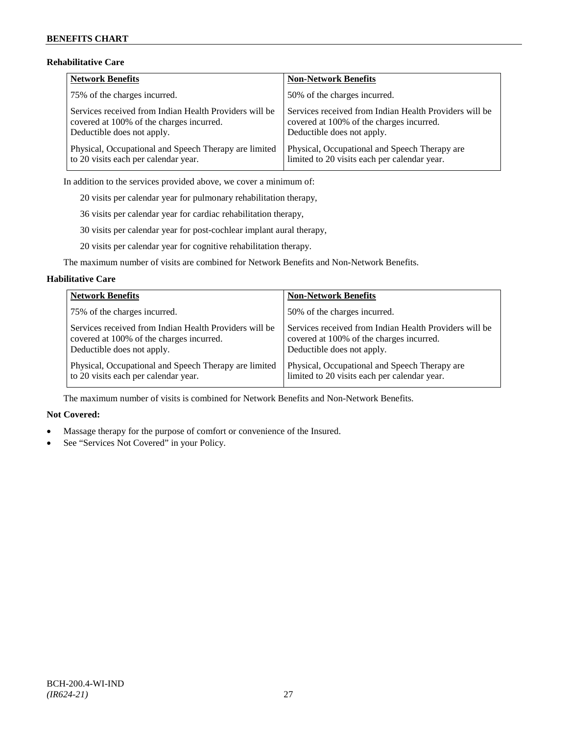# **Rehabilitative Care**

| Network Benefits                                       | <b>Non-Network Benefits</b>                            |
|--------------------------------------------------------|--------------------------------------------------------|
| 75% of the charges incurred.                           | 50% of the charges incurred.                           |
| Services received from Indian Health Providers will be | Services received from Indian Health Providers will be |
| covered at 100% of the charges incurred.               | covered at 100% of the charges incurred.               |
| Deductible does not apply.                             | Deductible does not apply.                             |
| Physical, Occupational and Speech Therapy are limited  | Physical, Occupational and Speech Therapy are          |
| to 20 visits each per calendar year.                   | limited to 20 visits each per calendar year.           |

In addition to the services provided above, we cover a minimum of:

20 visits per calendar year for pulmonary rehabilitation therapy,

36 visits per calendar year for cardiac rehabilitation therapy,

30 visits per calendar year for post-cochlear implant aural therapy,

20 visits per calendar year for cognitive rehabilitation therapy.

The maximum number of visits are combined for Network Benefits and Non-Network Benefits.

#### **Habilitative Care**

| <b>Network Benefits</b>                                | <b>Non-Network Benefits</b>                            |
|--------------------------------------------------------|--------------------------------------------------------|
| 75% of the charges incurred.                           | 50% of the charges incurred.                           |
| Services received from Indian Health Providers will be | Services received from Indian Health Providers will be |
| covered at 100% of the charges incurred.               | covered at 100% of the charges incurred.               |
| Deductible does not apply.                             | Deductible does not apply.                             |
| Physical, Occupational and Speech Therapy are limited  | Physical, Occupational and Speech Therapy are          |
| to 20 visits each per calendar year.                   | limited to 20 visits each per calendar year.           |

The maximum number of visits is combined for Network Benefits and Non-Network Benefits.

# **Not Covered:**

- Massage therapy for the purpose of comfort or convenience of the Insured.
- See "Services Not Covered" in your Policy.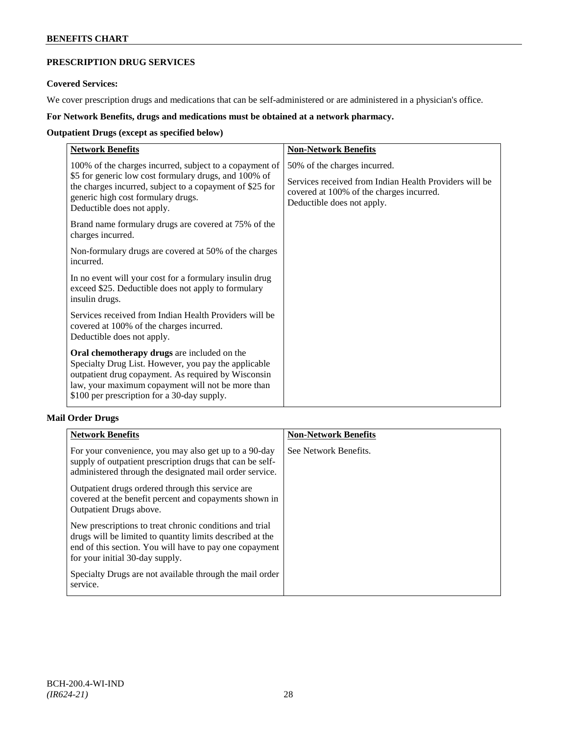# **PRESCRIPTION DRUG SERVICES**

# **Covered Services:**

We cover prescription drugs and medications that can be self-administered or are administered in a physician's office.

# **For Network Benefits, drugs and medications must be obtained at a network pharmacy.**

# **Outpatient Drugs (except as specified below)**

| <b>Network Benefits</b>                                                                                                                                                                                                                                        | <b>Non-Network Benefits</b>                                                                                                                                      |
|----------------------------------------------------------------------------------------------------------------------------------------------------------------------------------------------------------------------------------------------------------------|------------------------------------------------------------------------------------------------------------------------------------------------------------------|
| 100% of the charges incurred, subject to a copayment of<br>\$5 for generic low cost formulary drugs, and 100% of<br>the charges incurred, subject to a copayment of \$25 for<br>generic high cost formulary drugs.<br>Deductible does not apply.               | 50% of the charges incurred.<br>Services received from Indian Health Providers will be<br>covered at 100% of the charges incurred.<br>Deductible does not apply. |
| Brand name formulary drugs are covered at 75% of the<br>charges incurred.                                                                                                                                                                                      |                                                                                                                                                                  |
| Non-formulary drugs are covered at 50% of the charges<br>incurred.                                                                                                                                                                                             |                                                                                                                                                                  |
| In no event will your cost for a formulary insulin drug<br>exceed \$25. Deductible does not apply to formulary<br>insulin drugs.                                                                                                                               |                                                                                                                                                                  |
| Services received from Indian Health Providers will be<br>covered at 100% of the charges incurred.<br>Deductible does not apply.                                                                                                                               |                                                                                                                                                                  |
| Oral chemotherapy drugs are included on the<br>Specialty Drug List. However, you pay the applicable<br>outpatient drug copayment. As required by Wisconsin<br>law, your maximum copayment will not be more than<br>\$100 per prescription for a 30-day supply. |                                                                                                                                                                  |

# **Mail Order Drugs**

| <b>Network Benefits</b>                                                                                                                                                                                            | <b>Non-Network Benefits</b> |
|--------------------------------------------------------------------------------------------------------------------------------------------------------------------------------------------------------------------|-----------------------------|
| For your convenience, you may also get up to a 90-day<br>supply of outpatient prescription drugs that can be self-<br>administered through the designated mail order service.                                      | See Network Benefits.       |
| Outpatient drugs ordered through this service are<br>covered at the benefit percent and copayments shown in<br>Outpatient Drugs above.                                                                             |                             |
| New prescriptions to treat chronic conditions and trial<br>drugs will be limited to quantity limits described at the<br>end of this section. You will have to pay one copayment<br>for your initial 30-day supply. |                             |
| Specialty Drugs are not available through the mail order<br>service.                                                                                                                                               |                             |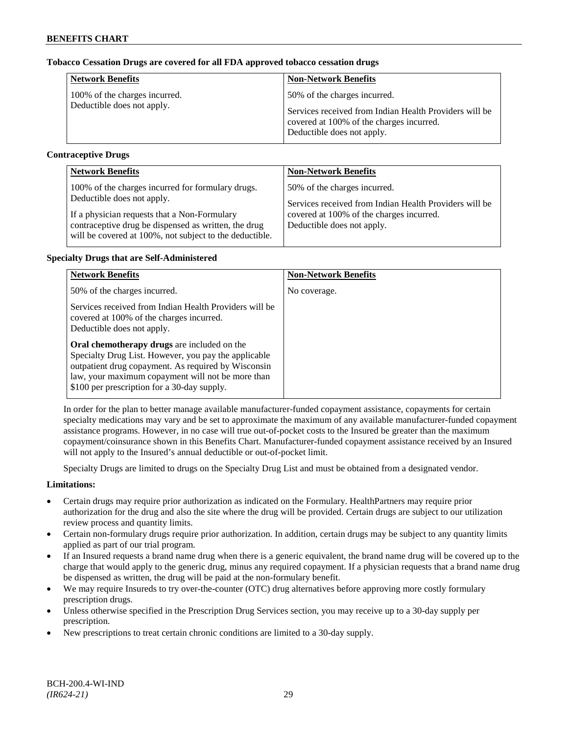# **Tobacco Cessation Drugs are covered for all FDA approved tobacco cessation drugs**

| <b>Network Benefits</b>       | <b>Non-Network Benefits</b>                                                                                                      |
|-------------------------------|----------------------------------------------------------------------------------------------------------------------------------|
| 100% of the charges incurred. | 50% of the charges incurred.                                                                                                     |
| Deductible does not apply.    | Services received from Indian Health Providers will be<br>covered at 100% of the charges incurred.<br>Deductible does not apply. |

# **Contraceptive Drugs**

| <b>Network Benefits</b>                                                                                                                                         | <b>Non-Network Benefits</b>                                                            |
|-----------------------------------------------------------------------------------------------------------------------------------------------------------------|----------------------------------------------------------------------------------------|
| 100% of the charges incurred for formulary drugs.<br>Deductible does not apply.                                                                                 | 50% of the charges incurred.<br>Services received from Indian Health Providers will be |
| If a physician requests that a Non-Formulary<br>contraceptive drug be dispensed as written, the drug<br>will be covered at 100%, not subject to the deductible. | covered at 100% of the charges incurred.<br>Deductible does not apply.                 |

# **Specialty Drugs that are Self-Administered**

| <b>Network Benefits</b>                                                                                                                                                                                                                                                                                                                                                                            | <b>Non-Network Benefits</b> |
|----------------------------------------------------------------------------------------------------------------------------------------------------------------------------------------------------------------------------------------------------------------------------------------------------------------------------------------------------------------------------------------------------|-----------------------------|
| 50% of the charges incurred.                                                                                                                                                                                                                                                                                                                                                                       | No coverage.                |
| Services received from Indian Health Providers will be<br>covered at 100% of the charges incurred.<br>Deductible does not apply.<br>Oral chemotherapy drugs are included on the<br>Specialty Drug List. However, you pay the applicable<br>outpatient drug copayment. As required by Wisconsin<br>law, your maximum copayment will not be more than<br>\$100 per prescription for a 30-day supply. |                             |

In order for the plan to better manage available manufacturer-funded copayment assistance, copayments for certain specialty medications may vary and be set to approximate the maximum of any available manufacturer-funded copayment assistance programs. However, in no case will true out-of-pocket costs to the Insured be greater than the maximum copayment/coinsurance shown in this Benefits Chart. Manufacturer-funded copayment assistance received by an Insured will not apply to the Insured's annual deductible or out-of-pocket limit.

Specialty Drugs are limited to drugs on the Specialty Drug List and must be obtained from a designated vendor.

# **Limitations:**

- Certain drugs may require prior authorization as indicated on the Formulary. HealthPartners may require prior authorization for the drug and also the site where the drug will be provided. Certain drugs are subject to our utilization review process and quantity limits.
- Certain non-formulary drugs require prior authorization. In addition, certain drugs may be subject to any quantity limits applied as part of our trial program.
- If an Insured requests a brand name drug when there is a generic equivalent, the brand name drug will be covered up to the charge that would apply to the generic drug, minus any required copayment. If a physician requests that a brand name drug be dispensed as written, the drug will be paid at the non-formulary benefit.
- We may require Insureds to try over-the-counter (OTC) drug alternatives before approving more costly formulary prescription drugs.
- Unless otherwise specified in the Prescription Drug Services section, you may receive up to a 30-day supply per prescription.
- New prescriptions to treat certain chronic conditions are limited to a 30-day supply.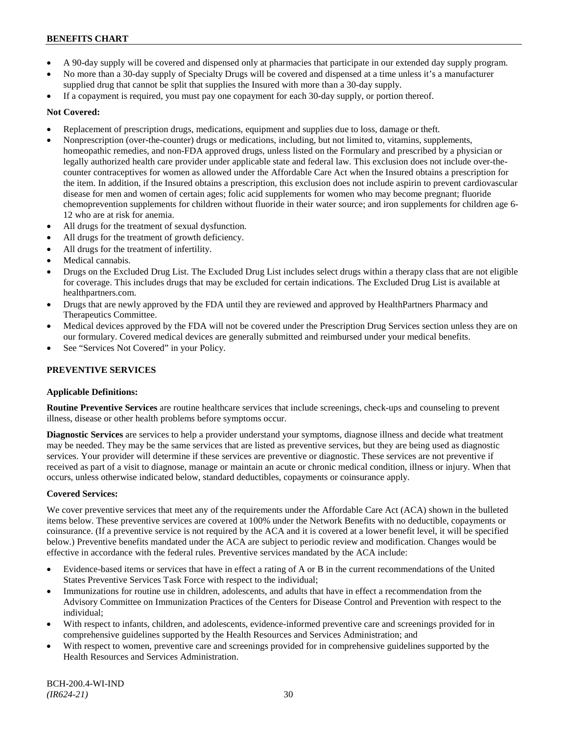- A 90-day supply will be covered and dispensed only at pharmacies that participate in our extended day supply program.
- No more than a 30-day supply of Specialty Drugs will be covered and dispensed at a time unless it's a manufacturer supplied drug that cannot be split that supplies the Insured with more than a 30-day supply.
- If a copayment is required, you must pay one copayment for each 30-day supply, or portion thereof.

# **Not Covered:**

- Replacement of prescription drugs, medications, equipment and supplies due to loss, damage or theft.
- Nonprescription (over-the-counter) drugs or medications, including, but not limited to, vitamins, supplements, homeopathic remedies, and non-FDA approved drugs, unless listed on the Formulary and prescribed by a physician or legally authorized health care provider under applicable state and federal law. This exclusion does not include over-thecounter contraceptives for women as allowed under the Affordable Care Act when the Insured obtains a prescription for the item. In addition, if the Insured obtains a prescription, this exclusion does not include aspirin to prevent cardiovascular disease for men and women of certain ages; folic acid supplements for women who may become pregnant; fluoride chemoprevention supplements for children without fluoride in their water source; and iron supplements for children age 6- 12 who are at risk for anemia.
- All drugs for the treatment of sexual dysfunction.
- All drugs for the treatment of growth deficiency.
- All drugs for the treatment of infertility.
- Medical cannabis.
- Drugs on the Excluded Drug List. The Excluded Drug List includes select drugs within a therapy class that are not eligible for coverage. This includes drugs that may be excluded for certain indications. The Excluded Drug List is available at [healthpartners.com.](http://www.healthpartners.com/)
- Drugs that are newly approved by the FDA until they are reviewed and approved by HealthPartners Pharmacy and Therapeutics Committee.
- Medical devices approved by the FDA will not be covered under the Prescription Drug Services section unless they are on our formulary. Covered medical devices are generally submitted and reimbursed under your medical benefits.
- See "Services Not Covered" in your Policy.

# **PREVENTIVE SERVICES**

# **Applicable Definitions:**

**Routine Preventive Services** are routine healthcare services that include screenings, check-ups and counseling to prevent illness, disease or other health problems before symptoms occur.

**Diagnostic Services** are services to help a provider understand your symptoms, diagnose illness and decide what treatment may be needed. They may be the same services that are listed as preventive services, but they are being used as diagnostic services. Your provider will determine if these services are preventive or diagnostic. These services are not preventive if received as part of a visit to diagnose, manage or maintain an acute or chronic medical condition, illness or injury. When that occurs, unless otherwise indicated below, standard deductibles, copayments or coinsurance apply.

# **Covered Services:**

We cover preventive services that meet any of the requirements under the Affordable Care Act (ACA) shown in the bulleted items below. These preventive services are covered at 100% under the Network Benefits with no deductible, copayments or coinsurance. (If a preventive service is not required by the ACA and it is covered at a lower benefit level, it will be specified below.) Preventive benefits mandated under the ACA are subject to periodic review and modification. Changes would be effective in accordance with the federal rules. Preventive services mandated by the ACA include:

- Evidence-based items or services that have in effect a rating of A or B in the current recommendations of the United States Preventive Services Task Force with respect to the individual;
- Immunizations for routine use in children, adolescents, and adults that have in effect a recommendation from the Advisory Committee on Immunization Practices of the Centers for Disease Control and Prevention with respect to the individual;
- With respect to infants, children, and adolescents, evidence-informed preventive care and screenings provided for in comprehensive guidelines supported by the Health Resources and Services Administration; and
- With respect to women, preventive care and screenings provided for in comprehensive guidelines supported by the Health Resources and Services Administration.

BCH-200.4-WI-IND *(IR624-21)* 30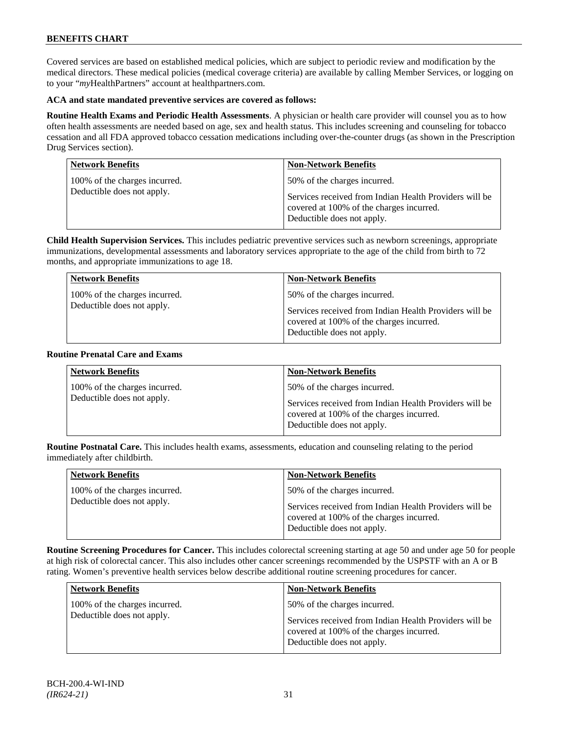Covered services are based on established medical policies, which are subject to periodic review and modification by the medical directors. These medical policies (medical coverage criteria) are available by calling Member Services, or logging on to your "*my*HealthPartners" account at [healthpartners.com.](http://www.healthpartners.com/)

# **ACA and state mandated preventive services are covered as follows:**

**Routine Health Exams and Periodic Health Assessments**. A physician or health care provider will counsel you as to how often health assessments are needed based on age, sex and health status. This includes screening and counseling for tobacco cessation and all FDA approved tobacco cessation medications including over-the-counter drugs (as shown in the Prescription Drug Services section).

| <b>Network Benefits</b>       | <b>Non-Network Benefits</b>                                                                                                      |
|-------------------------------|----------------------------------------------------------------------------------------------------------------------------------|
| 100% of the charges incurred. | 50% of the charges incurred.                                                                                                     |
| Deductible does not apply.    | Services received from Indian Health Providers will be<br>covered at 100% of the charges incurred.<br>Deductible does not apply. |

**Child Health Supervision Services.** This includes pediatric preventive services such as newborn screenings, appropriate immunizations, developmental assessments and laboratory services appropriate to the age of the child from birth to 72 months, and appropriate immunizations to age 18.

| <b>Network Benefits</b>                                     | <b>Non-Network Benefits</b>                                                            |
|-------------------------------------------------------------|----------------------------------------------------------------------------------------|
| 100% of the charges incurred.<br>Deductible does not apply. | 50% of the charges incurred.<br>Services received from Indian Health Providers will be |
|                                                             | covered at 100% of the charges incurred.<br>Deductible does not apply.                 |

#### **Routine Prenatal Care and Exams**

| <b>Network Benefits</b>                                     | <b>Non-Network Benefits</b>                                                                                                                                      |
|-------------------------------------------------------------|------------------------------------------------------------------------------------------------------------------------------------------------------------------|
| 100% of the charges incurred.<br>Deductible does not apply. | 50% of the charges incurred.<br>Services received from Indian Health Providers will be<br>covered at 100% of the charges incurred.<br>Deductible does not apply. |

**Routine Postnatal Care.** This includes health exams, assessments, education and counseling relating to the period immediately after childbirth.

| <b>Network Benefits</b>                                     | <b>Non-Network Benefits</b>                                                                                                                                      |
|-------------------------------------------------------------|------------------------------------------------------------------------------------------------------------------------------------------------------------------|
| 100% of the charges incurred.<br>Deductible does not apply. | 50% of the charges incurred.<br>Services received from Indian Health Providers will be<br>covered at 100% of the charges incurred.<br>Deductible does not apply. |

**Routine Screening Procedures for Cancer.** This includes colorectal screening starting at age 50 and under age 50 for people at high risk of colorectal cancer. This also includes other cancer screenings recommended by the USPSTF with an A or B rating. Women's preventive health services below describe additional routine screening procedures for cancer.

| <b>Network Benefits</b>                                     | <b>Non-Network Benefits</b>                                                                                                                                      |
|-------------------------------------------------------------|------------------------------------------------------------------------------------------------------------------------------------------------------------------|
| 100% of the charges incurred.<br>Deductible does not apply. | 50% of the charges incurred.<br>Services received from Indian Health Providers will be<br>covered at 100% of the charges incurred.<br>Deductible does not apply. |
|                                                             |                                                                                                                                                                  |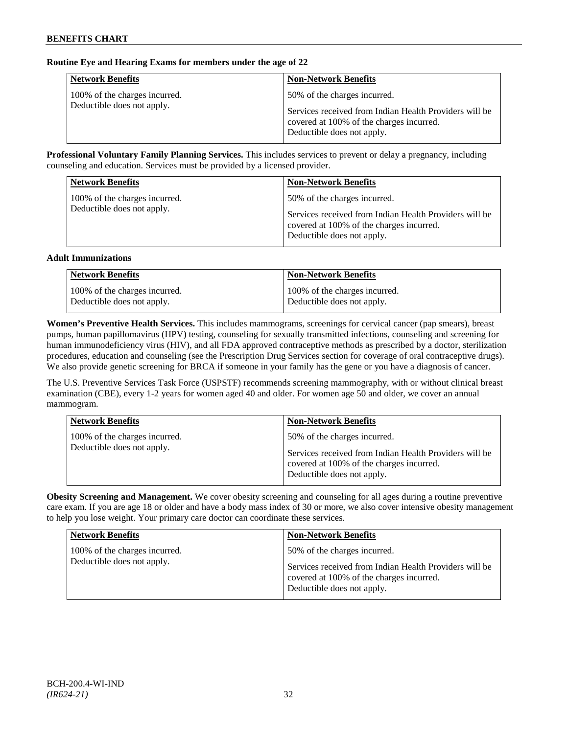# **Routine Eye and Hearing Exams for members under the age of 22**

| <b>Network Benefits</b>                                     | <b>Non-Network Benefits</b>                                                                                                                                      |
|-------------------------------------------------------------|------------------------------------------------------------------------------------------------------------------------------------------------------------------|
| 100% of the charges incurred.<br>Deductible does not apply. | 50% of the charges incurred.<br>Services received from Indian Health Providers will be<br>covered at 100% of the charges incurred.<br>Deductible does not apply. |

**Professional Voluntary Family Planning Services.** This includes services to prevent or delay a pregnancy, including counseling and education. Services must be provided by a licensed provider.

| <b>Network Benefits</b>                                     | <b>Non-Network Benefits</b>                                                                                                                                      |
|-------------------------------------------------------------|------------------------------------------------------------------------------------------------------------------------------------------------------------------|
| 100% of the charges incurred.<br>Deductible does not apply. | 50% of the charges incurred.<br>Services received from Indian Health Providers will be<br>covered at 100% of the charges incurred.<br>Deductible does not apply. |

#### **Adult Immunizations**

| <b>Network Benefits</b>       | <b>Non-Network Benefits</b>   |
|-------------------------------|-------------------------------|
| 100% of the charges incurred. | 100% of the charges incurred. |
| Deductible does not apply.    | Deductible does not apply.    |

**Women's Preventive Health Services.** This includes mammograms, screenings for cervical cancer (pap smears), breast pumps, human papillomavirus (HPV) testing, counseling for sexually transmitted infections, counseling and screening for human immunodeficiency virus (HIV), and all FDA approved contraceptive methods as prescribed by a doctor, sterilization procedures, education and counseling (see the Prescription Drug Services section for coverage of oral contraceptive drugs). We also provide genetic screening for BRCA if someone in your family has the gene or you have a diagnosis of cancer.

The U.S. Preventive Services Task Force (USPSTF) recommends screening mammography, with or without clinical breast examination (CBE), every 1-2 years for women aged 40 and older. For women age 50 and older, we cover an annual mammogram.

| <b>Network Benefits</b>                                     | <b>Non-Network Benefits</b>                                                            |
|-------------------------------------------------------------|----------------------------------------------------------------------------------------|
| 100% of the charges incurred.<br>Deductible does not apply. | 50% of the charges incurred.<br>Services received from Indian Health Providers will be |
|                                                             | covered at 100% of the charges incurred.<br>Deductible does not apply.                 |

**Obesity Screening and Management.** We cover obesity screening and counseling for all ages during a routine preventive care exam. If you are age 18 or older and have a body mass index of 30 or more, we also cover intensive obesity management to help you lose weight. Your primary care doctor can coordinate these services.

| <b>Network Benefits</b>       | <b>Non-Network Benefits</b>                                                                                                      |
|-------------------------------|----------------------------------------------------------------------------------------------------------------------------------|
| 100% of the charges incurred. | 50% of the charges incurred.                                                                                                     |
| Deductible does not apply.    | Services received from Indian Health Providers will be<br>covered at 100% of the charges incurred.<br>Deductible does not apply. |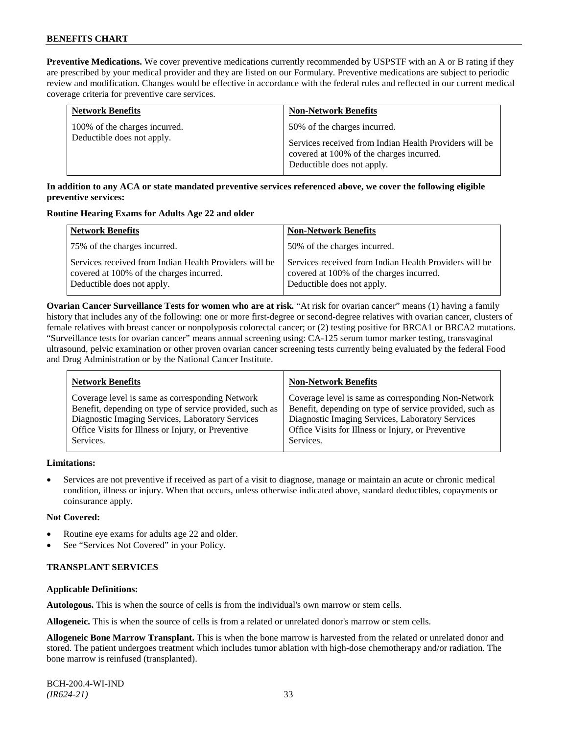**Preventive Medications.** We cover preventive medications currently recommended by USPSTF with an A or B rating if they are prescribed by your medical provider and they are listed on our Formulary. Preventive medications are subject to periodic review and modification. Changes would be effective in accordance with the federal rules and reflected in our current medical coverage criteria for preventive care services.

| <b>Network Benefits</b>       | <b>Non-Network Benefits</b>                                                                                                      |
|-------------------------------|----------------------------------------------------------------------------------------------------------------------------------|
| 100% of the charges incurred. | 50% of the charges incurred.                                                                                                     |
| Deductible does not apply.    | Services received from Indian Health Providers will be<br>covered at 100% of the charges incurred.<br>Deductible does not apply. |

# **In addition to any ACA or state mandated preventive services referenced above, we cover the following eligible preventive services:**

#### **Routine Hearing Exams for Adults Age 22 and older**

| <b>Network Benefits</b>                                                                                                          | <b>Non-Network Benefits</b>                                                                                                      |
|----------------------------------------------------------------------------------------------------------------------------------|----------------------------------------------------------------------------------------------------------------------------------|
| 75% of the charges incurred.                                                                                                     | 50% of the charges incurred.                                                                                                     |
| Services received from Indian Health Providers will be<br>covered at 100% of the charges incurred.<br>Deductible does not apply. | Services received from Indian Health Providers will be<br>covered at 100% of the charges incurred.<br>Deductible does not apply. |

**Ovarian Cancer Surveillance Tests for women who are at risk.** "At risk for ovarian cancer" means (1) having a family history that includes any of the following: one or more first-degree or second-degree relatives with ovarian cancer, clusters of female relatives with breast cancer or nonpolyposis colorectal cancer; or (2) testing positive for BRCA1 or BRCA2 mutations. "Surveillance tests for ovarian cancer" means annual screening using: CA-125 serum tumor marker testing, transvaginal ultrasound, pelvic examination or other proven ovarian cancer screening tests currently being evaluated by the federal Food and Drug Administration or by the National Cancer Institute.

| <b>Network Benefits</b>                                 | <b>Non-Network Benefits</b>                             |
|---------------------------------------------------------|---------------------------------------------------------|
| Coverage level is same as corresponding Network         | Coverage level is same as corresponding Non-Network     |
| Benefit, depending on type of service provided, such as | Benefit, depending on type of service provided, such as |
| Diagnostic Imaging Services, Laboratory Services        | Diagnostic Imaging Services, Laboratory Services        |
| Office Visits for Illness or Injury, or Preventive      | Office Visits for Illness or Injury, or Preventive      |
| Services.                                               | Services.                                               |
|                                                         |                                                         |

# **Limitations:**

• Services are not preventive if received as part of a visit to diagnose, manage or maintain an acute or chronic medical condition, illness or injury. When that occurs, unless otherwise indicated above, standard deductibles, copayments or coinsurance apply.

# **Not Covered:**

- Routine eye exams for adults age 22 and older.
- See "Services Not Covered" in your Policy.

# **TRANSPLANT SERVICES**

# **Applicable Definitions:**

**Autologous.** This is when the source of cells is from the individual's own marrow or stem cells.

**Allogeneic.** This is when the source of cells is from a related or unrelated donor's marrow or stem cells.

**Allogeneic Bone Marrow Transplant.** This is when the bone marrow is harvested from the related or unrelated donor and stored. The patient undergoes treatment which includes tumor ablation with high-dose chemotherapy and/or radiation. The bone marrow is reinfused (transplanted).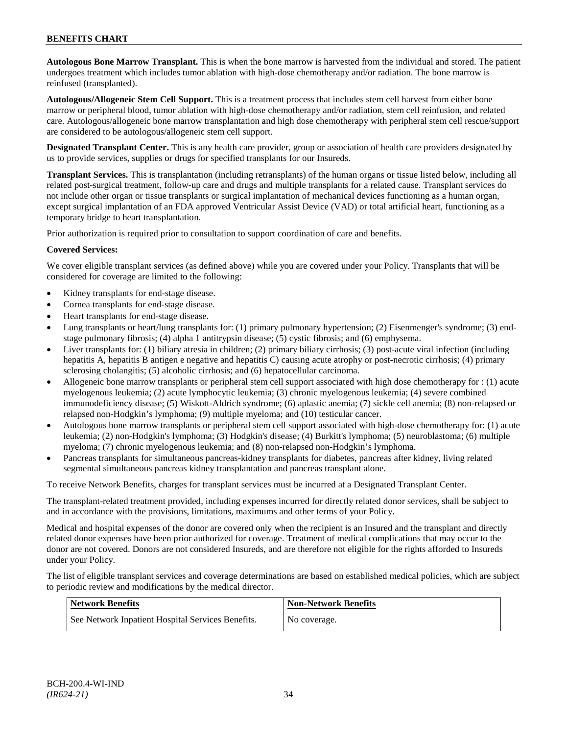**Autologous Bone Marrow Transplant.** This is when the bone marrow is harvested from the individual and stored. The patient undergoes treatment which includes tumor ablation with high-dose chemotherapy and/or radiation. The bone marrow is reinfused (transplanted).

**Autologous/Allogeneic Stem Cell Support.** This is a treatment process that includes stem cell harvest from either bone marrow or peripheral blood, tumor ablation with high-dose chemotherapy and/or radiation, stem cell reinfusion, and related care. Autologous/allogeneic bone marrow transplantation and high dose chemotherapy with peripheral stem cell rescue/support are considered to be autologous/allogeneic stem cell support.

**Designated Transplant Center.** This is any health care provider, group or association of health care providers designated by us to provide services, supplies or drugs for specified transplants for our Insureds.

**Transplant Services.** This is transplantation (including retransplants) of the human organs or tissue listed below, including all related post-surgical treatment, follow-up care and drugs and multiple transplants for a related cause. Transplant services do not include other organ or tissue transplants or surgical implantation of mechanical devices functioning as a human organ, except surgical implantation of an FDA approved Ventricular Assist Device (VAD) or total artificial heart, functioning as a temporary bridge to heart transplantation.

Prior authorization is required prior to consultation to support coordination of care and benefits.

# **Covered Services:**

We cover eligible transplant services (as defined above) while you are covered under your Policy. Transplants that will be considered for coverage are limited to the following:

- Kidney transplants for end-stage disease.
- Cornea transplants for end-stage disease.
- Heart transplants for end-stage disease.
- Lung transplants or heart/lung transplants for: (1) primary pulmonary hypertension; (2) Eisenmenger's syndrome; (3) endstage pulmonary fibrosis; (4) alpha 1 antitrypsin disease; (5) cystic fibrosis; and (6) emphysema.
- Liver transplants for: (1) biliary atresia in children; (2) primary biliary cirrhosis; (3) post-acute viral infection (including hepatitis A, hepatitis B antigen e negative and hepatitis C) causing acute atrophy or post-necrotic cirrhosis; (4) primary sclerosing cholangitis; (5) alcoholic cirrhosis; and (6) hepatocellular carcinoma.
- Allogeneic bone marrow transplants or peripheral stem cell support associated with high dose chemotherapy for : (1) acute myelogenous leukemia; (2) acute lymphocytic leukemia; (3) chronic myelogenous leukemia; (4) severe combined immunodeficiency disease; (5) Wiskott-Aldrich syndrome; (6) aplastic anemia; (7) sickle cell anemia; (8) non-relapsed or relapsed non-Hodgkin's lymphoma; (9) multiple myeloma; and (10) testicular cancer.
- Autologous bone marrow transplants or peripheral stem cell support associated with high-dose chemotherapy for: (1) acute leukemia; (2) non-Hodgkin's lymphoma; (3) Hodgkin's disease; (4) Burkitt's lymphoma; (5) neuroblastoma; (6) multiple myeloma; (7) chronic myelogenous leukemia; and (8) non-relapsed non-Hodgkin's lymphoma.
- Pancreas transplants for simultaneous pancreas-kidney transplants for diabetes, pancreas after kidney, living related segmental simultaneous pancreas kidney transplantation and pancreas transplant alone.

To receive Network Benefits, charges for transplant services must be incurred at a Designated Transplant Center.

The transplant-related treatment provided, including expenses incurred for directly related donor services, shall be subject to and in accordance with the provisions, limitations, maximums and other terms of your Policy.

Medical and hospital expenses of the donor are covered only when the recipient is an Insured and the transplant and directly related donor expenses have been prior authorized for coverage. Treatment of medical complications that may occur to the donor are not covered. Donors are not considered Insureds, and are therefore not eligible for the rights afforded to Insureds under your Policy.

The list of eligible transplant services and coverage determinations are based on established medical policies, which are subject to periodic review and modifications by the medical director.

| <b>Network Benefits</b>                           | <b>Non-Network Benefits</b> |
|---------------------------------------------------|-----------------------------|
| See Network Inpatient Hospital Services Benefits. | No coverage.                |